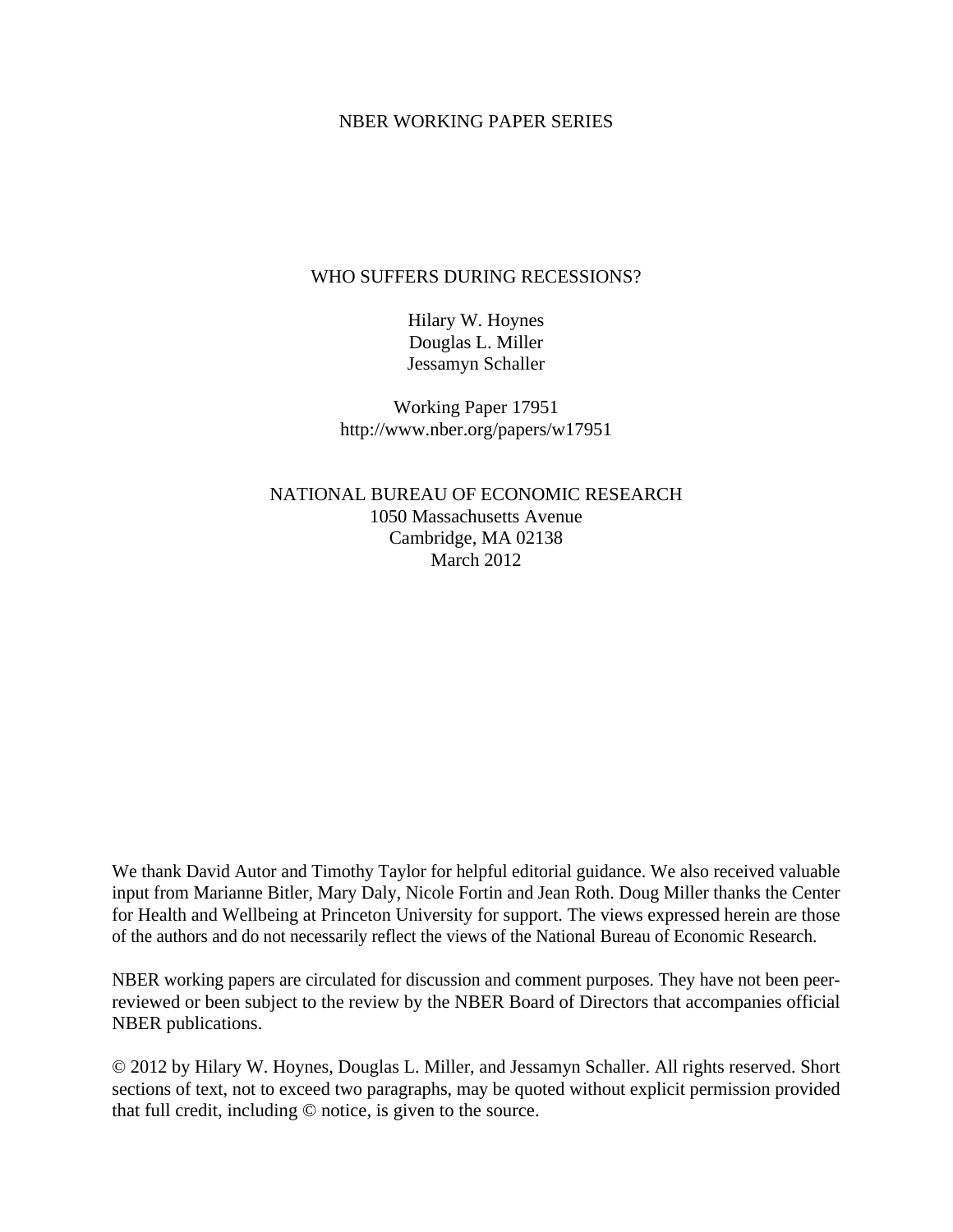# NBER WORKING PAPER SERIES

# WHO SUFFERS DURING RECESSIONS?

Hilary W. Hoynes Douglas L. Miller Jessamyn Schaller

Working Paper 17951 http://www.nber.org/papers/w17951

NATIONAL BUREAU OF ECONOMIC RESEARCH 1050 Massachusetts Avenue Cambridge, MA 02138 March 2012

We thank David Autor and Timothy Taylor for helpful editorial guidance. We also received valuable input from Marianne Bitler, Mary Daly, Nicole Fortin and Jean Roth. Doug Miller thanks the Center for Health and Wellbeing at Princeton University for support. The views expressed herein are those of the authors and do not necessarily reflect the views of the National Bureau of Economic Research.

NBER working papers are circulated for discussion and comment purposes. They have not been peerreviewed or been subject to the review by the NBER Board of Directors that accompanies official NBER publications.

© 2012 by Hilary W. Hoynes, Douglas L. Miller, and Jessamyn Schaller. All rights reserved. Short sections of text, not to exceed two paragraphs, may be quoted without explicit permission provided that full credit, including © notice, is given to the source.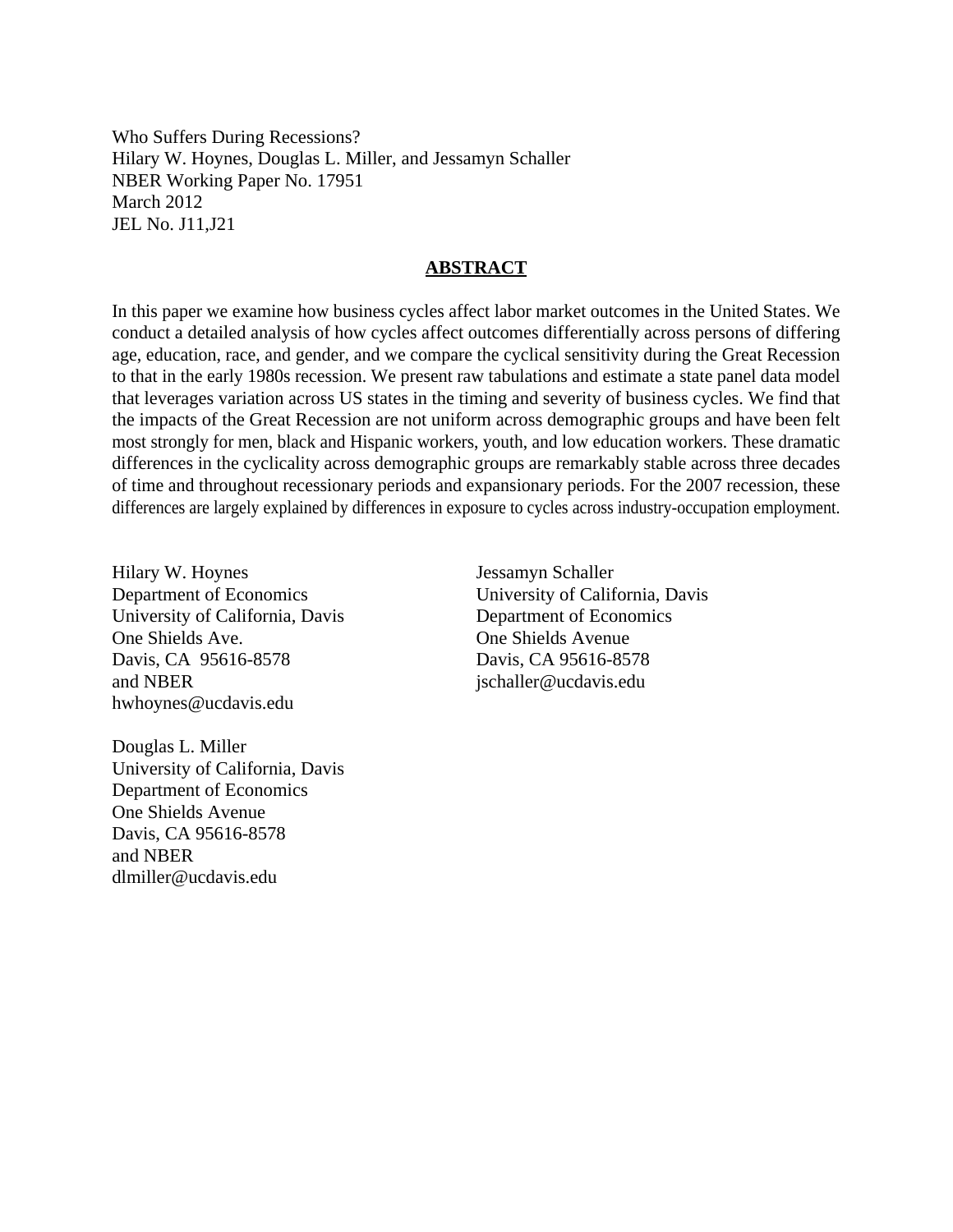Who Suffers During Recessions? Hilary W. Hoynes, Douglas L. Miller, and Jessamyn Schaller NBER Working Paper No. 17951 March 2012 JEL No. J11,J21

#### **ABSTRACT**

In this paper we examine how business cycles affect labor market outcomes in the United States. We conduct a detailed analysis of how cycles affect outcomes differentially across persons of differing age, education, race, and gender, and we compare the cyclical sensitivity during the Great Recession to that in the early 1980s recession. We present raw tabulations and estimate a state panel data model that leverages variation across US states in the timing and severity of business cycles. We find that the impacts of the Great Recession are not uniform across demographic groups and have been felt most strongly for men, black and Hispanic workers, youth, and low education workers. These dramatic differences in the cyclicality across demographic groups are remarkably stable across three decades of time and throughout recessionary periods and expansionary periods. For the 2007 recession, these differences are largely explained by differences in exposure to cycles across industry-occupation employment.

Hilary W. Hoynes Department of Economics University of California, Davis One Shields Ave. Davis, CA 95616-8578 and NBER hwhoynes@ucdavis.edu

Jessamyn Schaller University of California, Davis Department of Economics One Shields Avenue Davis, CA 95616-8578 jschaller@ucdavis.edu

Douglas L. Miller University of California, Davis Department of Economics One Shields Avenue Davis, CA 95616-8578 and NBER dlmiller@ucdavis.edu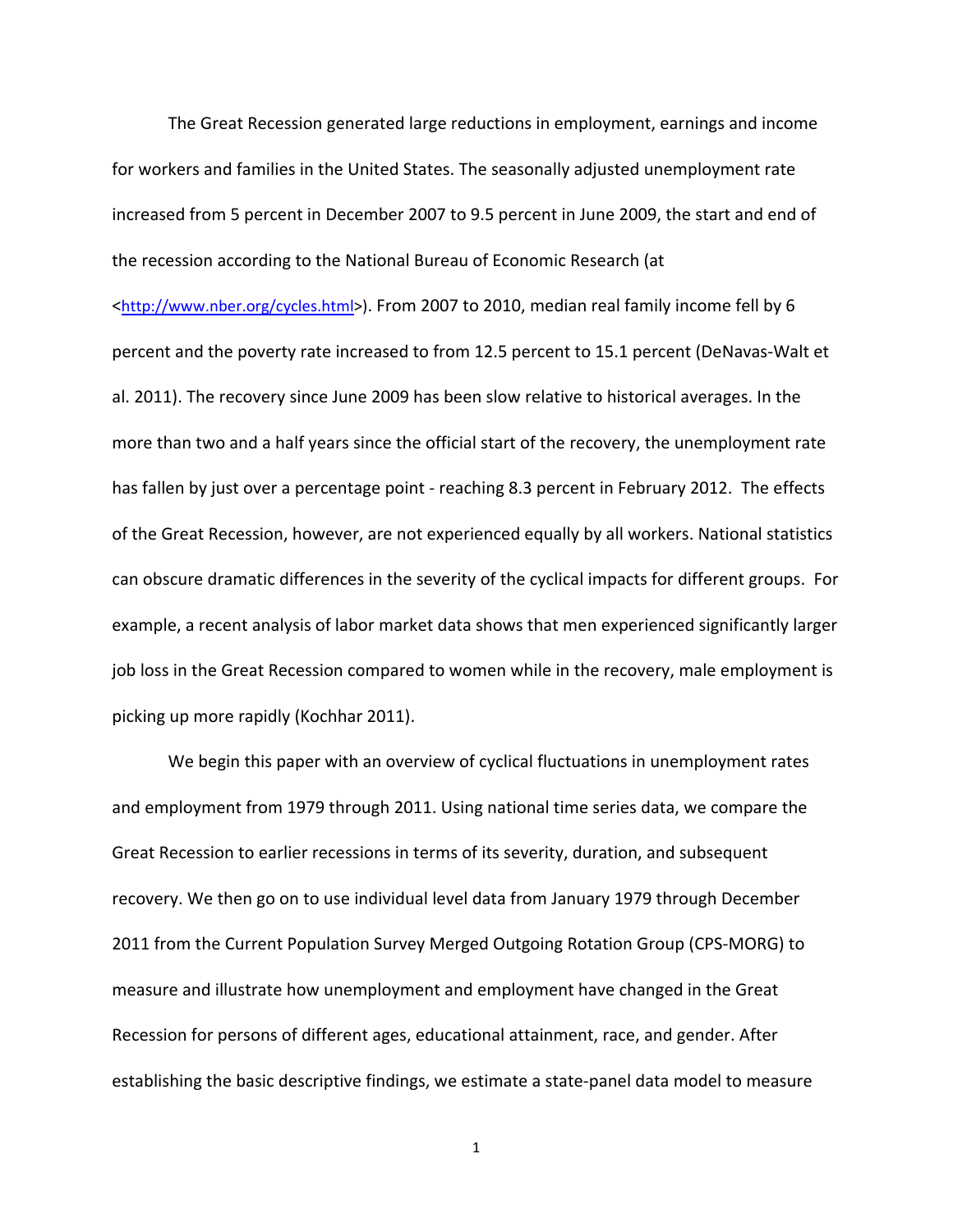The Great Recession generated large reductions in employment, earnings and income for workers and families in the United States. The seasonally adjusted unemployment rate increased from 5 percent in December 2007 to 9.5 percent in June 2009, the start and end of the recession according to the National Bureau of Economic Research (at

<http://www.nber.org/cycles.html>). From 2007 to 2010, median real family income fell by 6 percent and the poverty rate increased to from 12.5 percent to 15.1 percent (DeNavas‐Walt et al. 2011). The recovery since June 2009 has been slow relative to historical averages. In the more than two and a half years since the official start of the recovery, the unemployment rate has fallen by just over a percentage point - reaching 8.3 percent in February 2012. The effects of the Great Recession, however, are not experienced equally by all workers. National statistics can obscure dramatic differences in the severity of the cyclical impacts for different groups. For example, a recent analysis of labor market data shows that men experienced significantly larger job loss in the Great Recession compared to women while in the recovery, male employment is picking up more rapidly (Kochhar 2011).

We begin this paper with an overview of cyclical fluctuations in unemployment rates and employment from 1979 through 2011. Using national time series data, we compare the Great Recession to earlier recessions in terms of its severity, duration, and subsequent recovery. We then go on to use individual level data from January 1979 through December 2011 from the Current Population Survey Merged Outgoing Rotation Group (CPS‐MORG) to measure and illustrate how unemployment and employment have changed in the Great Recession for persons of different ages, educational attainment, race, and gender. After establishing the basic descriptive findings, we estimate a state‐panel data model to measure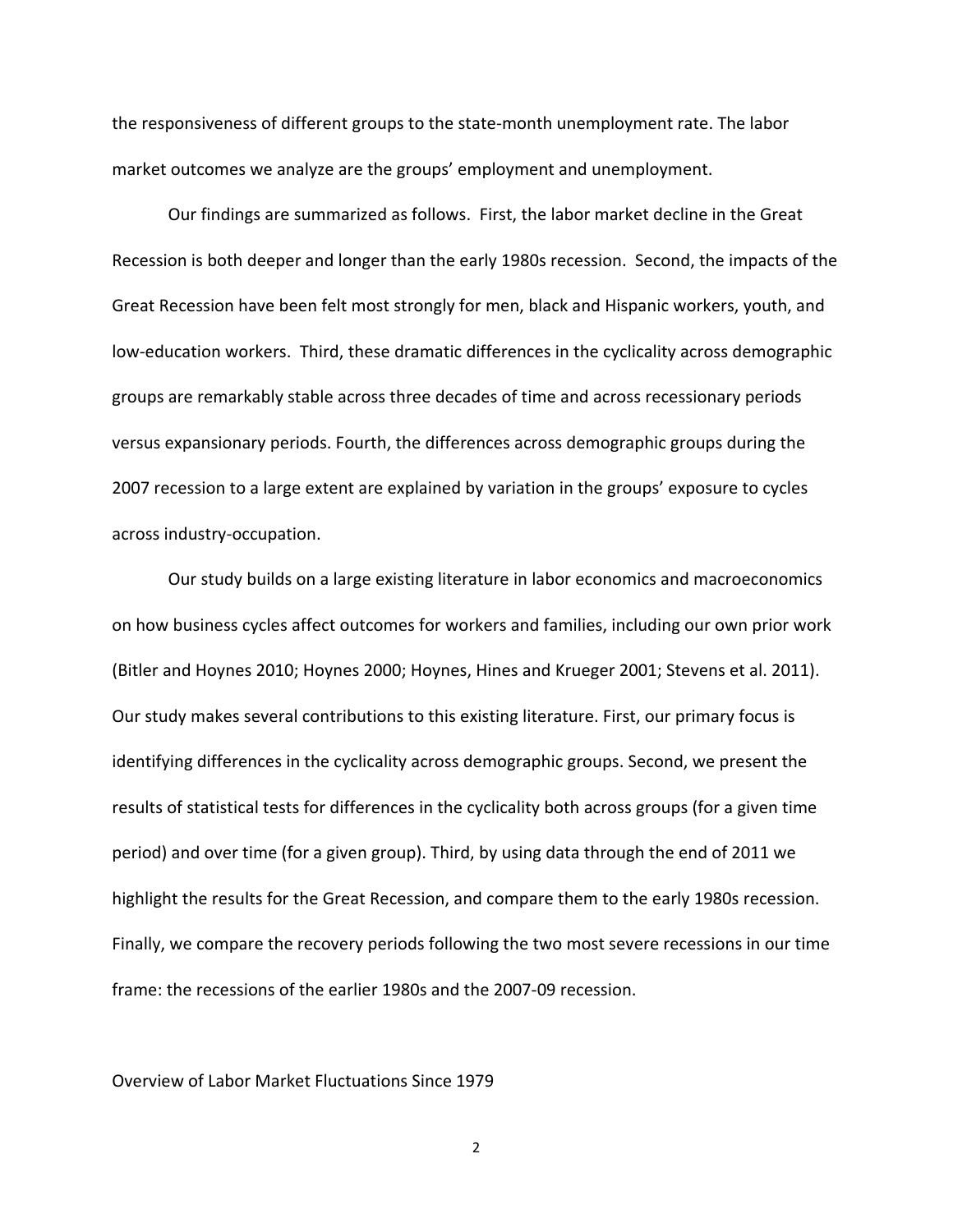the responsiveness of different groups to the state‐month unemployment rate. The labor market outcomes we analyze are the groups' employment and unemployment.

Our findings are summarized as follows. First, the labor market decline in the Great Recession is both deeper and longer than the early 1980s recession. Second, the impacts of the Great Recession have been felt most strongly for men, black and Hispanic workers, youth, and low-education workers. Third, these dramatic differences in the cyclicality across demographic groups are remarkably stable across three decades of time and across recessionary periods versus expansionary periods. Fourth, the differences across demographic groups during the 2007 recession to a large extent are explained by variation in the groups' exposure to cycles across industry‐occupation.

Our study builds on a large existing literature in labor economics and macroeconomics on how business cycles affect outcomes for workers and families, including our own prior work (Bitler and Hoynes 2010; Hoynes 2000; Hoynes, Hines and Krueger 2001; Stevens et al. 2011). Our study makes several contributions to this existing literature. First, our primary focus is identifying differences in the cyclicality across demographic groups. Second, we present the results of statistical tests for differences in the cyclicality both across groups (for a given time period) and over time (for a given group). Third, by using data through the end of 2011 we highlight the results for the Great Recession, and compare them to the early 1980s recession. Finally, we compare the recovery periods following the two most severe recessions in our time frame: the recessions of the earlier 1980s and the 2007‐09 recession.

#### Overview of Labor Market Fluctuations Since 1979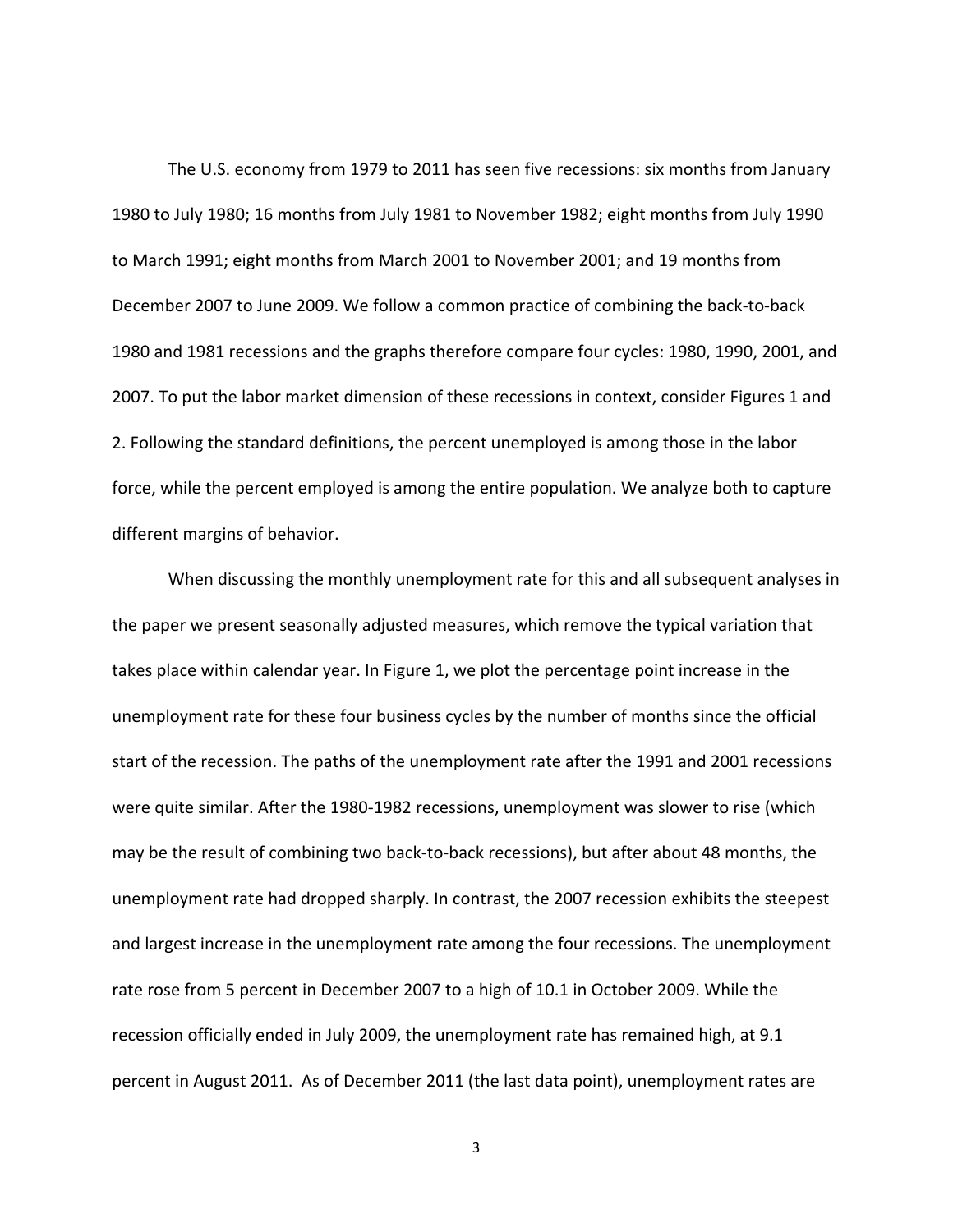The U.S. economy from 1979 to 2011 has seen five recessions: six months from January 1980 to July 1980; 16 months from July 1981 to November 1982; eight months from July 1990 to March 1991; eight months from March 2001 to November 2001; and 19 months from December 2007 to June 2009. We follow a common practice of combining the back‐to‐back 1980 and 1981 recessions and the graphs therefore compare four cycles: 1980, 1990, 2001, and 2007. To put the labor market dimension of these recessions in context, consider Figures 1 and 2. Following the standard definitions, the percent unemployed is among those in the labor force, while the percent employed is among the entire population. We analyze both to capture different margins of behavior.

When discussing the monthly unemployment rate for this and all subsequent analyses in the paper we present seasonally adjusted measures, which remove the typical variation that takes place within calendar year. In Figure 1, we plot the percentage point increase in the unemployment rate for these four business cycles by the number of months since the official start of the recession. The paths of the unemployment rate after the 1991 and 2001 recessions were quite similar. After the 1980-1982 recessions, unemployment was slower to rise (which may be the result of combining two back‐to‐back recessions), but after about 48 months, the unemployment rate had dropped sharply. In contrast, the 2007 recession exhibits the steepest and largest increase in the unemployment rate among the four recessions. The unemployment rate rose from 5 percent in December 2007 to a high of 10.1 in October 2009. While the recession officially ended in July 2009, the unemployment rate has remained high, at 9.1 percent in August 2011. As of December 2011 (the last data point), unemployment rates are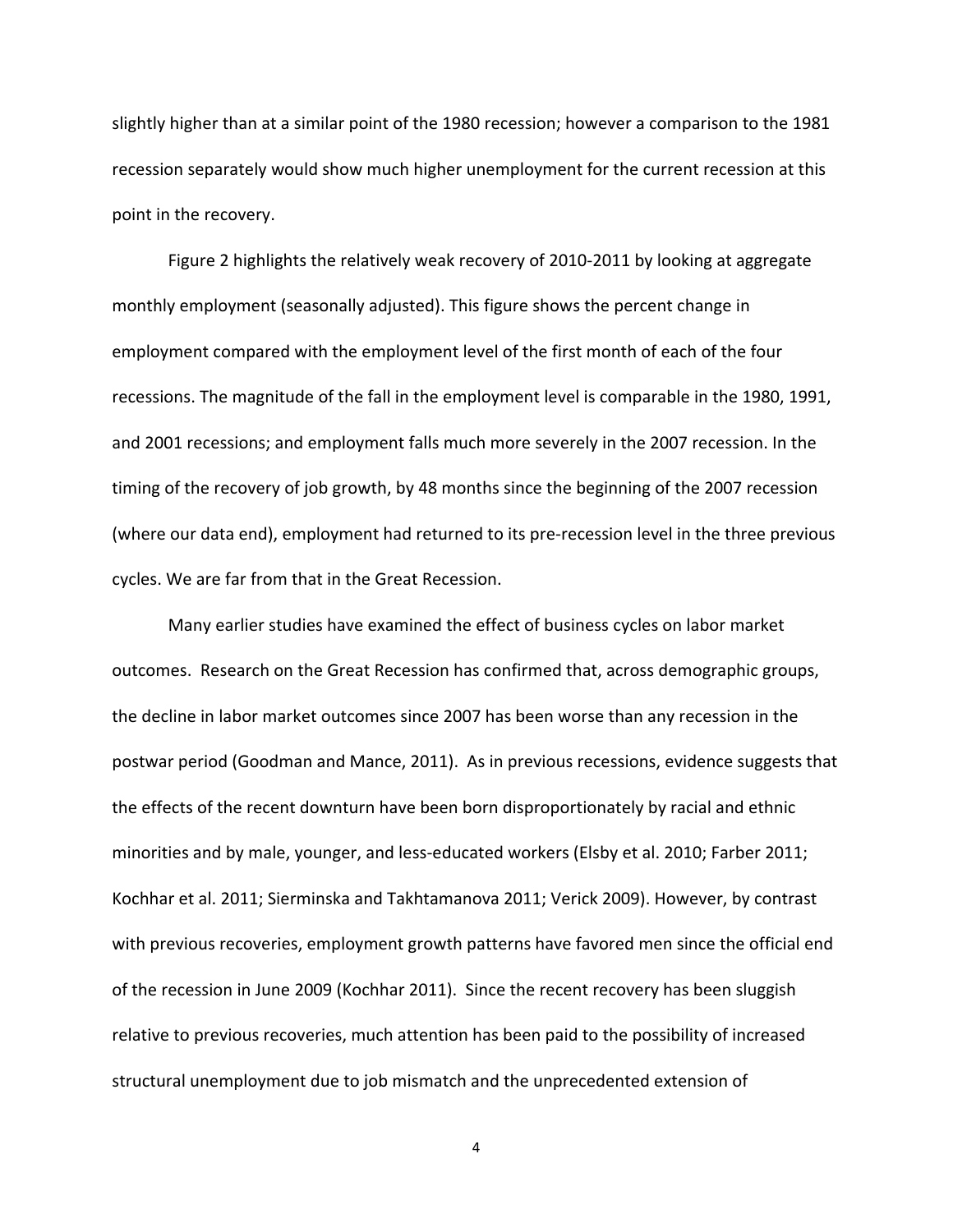slightly higher than at a similar point of the 1980 recession; however a comparison to the 1981 recession separately would show much higher unemployment for the current recession at this point in the recovery.

Figure 2 highlights the relatively weak recovery of 2010‐2011 by looking at aggregate monthly employment (seasonally adjusted). This figure shows the percent change in employment compared with the employment level of the first month of each of the four recessions. The magnitude of the fall in the employment level is comparable in the 1980, 1991, and 2001 recessions; and employment falls much more severely in the 2007 recession. In the timing of the recovery of job growth, by 48 months since the beginning of the 2007 recession (where our data end), employment had returned to its pre‐recession level in the three previous cycles. We are far from that in the Great Recession.

Many earlier studies have examined the effect of business cycles on labor market outcomes. Research on the Great Recession has confirmed that, across demographic groups, the decline in labor market outcomes since 2007 has been worse than any recession in the postwar period (Goodman and Mance, 2011). As in previous recessions, evidence suggests that the effects of the recent downturn have been born disproportionately by racial and ethnic minorities and by male, younger, and less-educated workers (Elsby et al. 2010; Farber 2011; Kochhar et al. 2011; Sierminska and Takhtamanova 2011; Verick 2009). However, by contrast with previous recoveries, employment growth patterns have favored men since the official end of the recession in June 2009 (Kochhar 2011). Since the recent recovery has been sluggish relative to previous recoveries, much attention has been paid to the possibility of increased structural unemployment due to job mismatch and the unprecedented extension of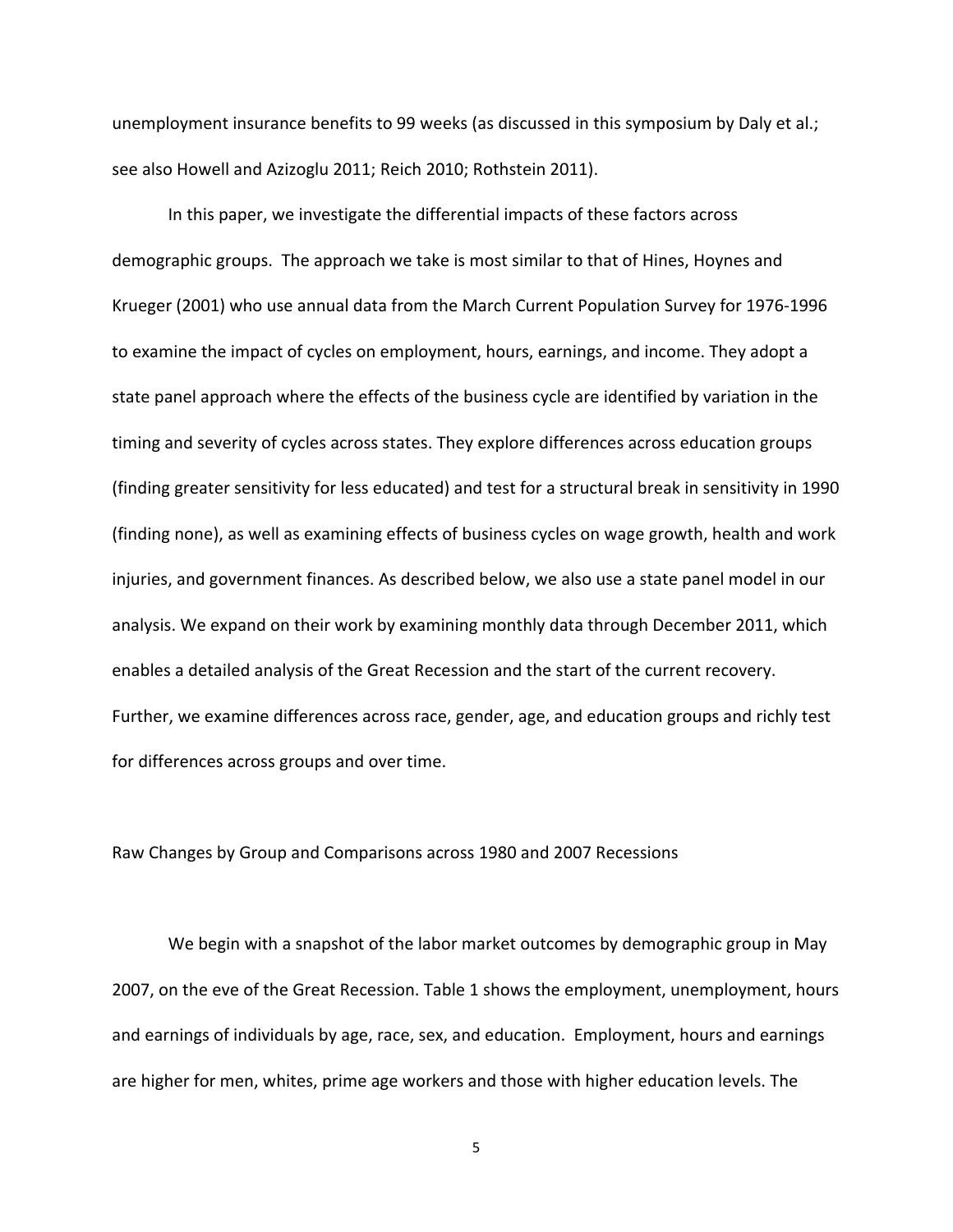unemployment insurance benefits to 99 weeks (as discussed in this symposium by Daly et al.; see also Howell and Azizoglu 2011; Reich 2010; Rothstein 2011).

In this paper, we investigate the differential impacts of these factors across demographic groups. The approach we take is most similar to that of Hines, Hoynes and Krueger (2001) who use annual data from the March Current Population Survey for 1976‐1996 to examine the impact of cycles on employment, hours, earnings, and income. They adopt a state panel approach where the effects of the business cycle are identified by variation in the timing and severity of cycles across states. They explore differences across education groups (finding greater sensitivity for less educated) and test for a structural break in sensitivity in 1990 (finding none), as well as examining effects of business cycles on wage growth, health and work injuries, and government finances. As described below, we also use a state panel model in our analysis. We expand on their work by examining monthly data through December 2011, which enables a detailed analysis of the Great Recession and the start of the current recovery. Further, we examine differences across race, gender, age, and education groups and richly test for differences across groups and over time.

Raw Changes by Group and Comparisons across 1980 and 2007 Recessions

We begin with a snapshot of the labor market outcomes by demographic group in May 2007, on the eve of the Great Recession. Table 1 shows the employment, unemployment, hours and earnings of individuals by age, race, sex, and education. Employment, hours and earnings are higher for men, whites, prime age workers and those with higher education levels. The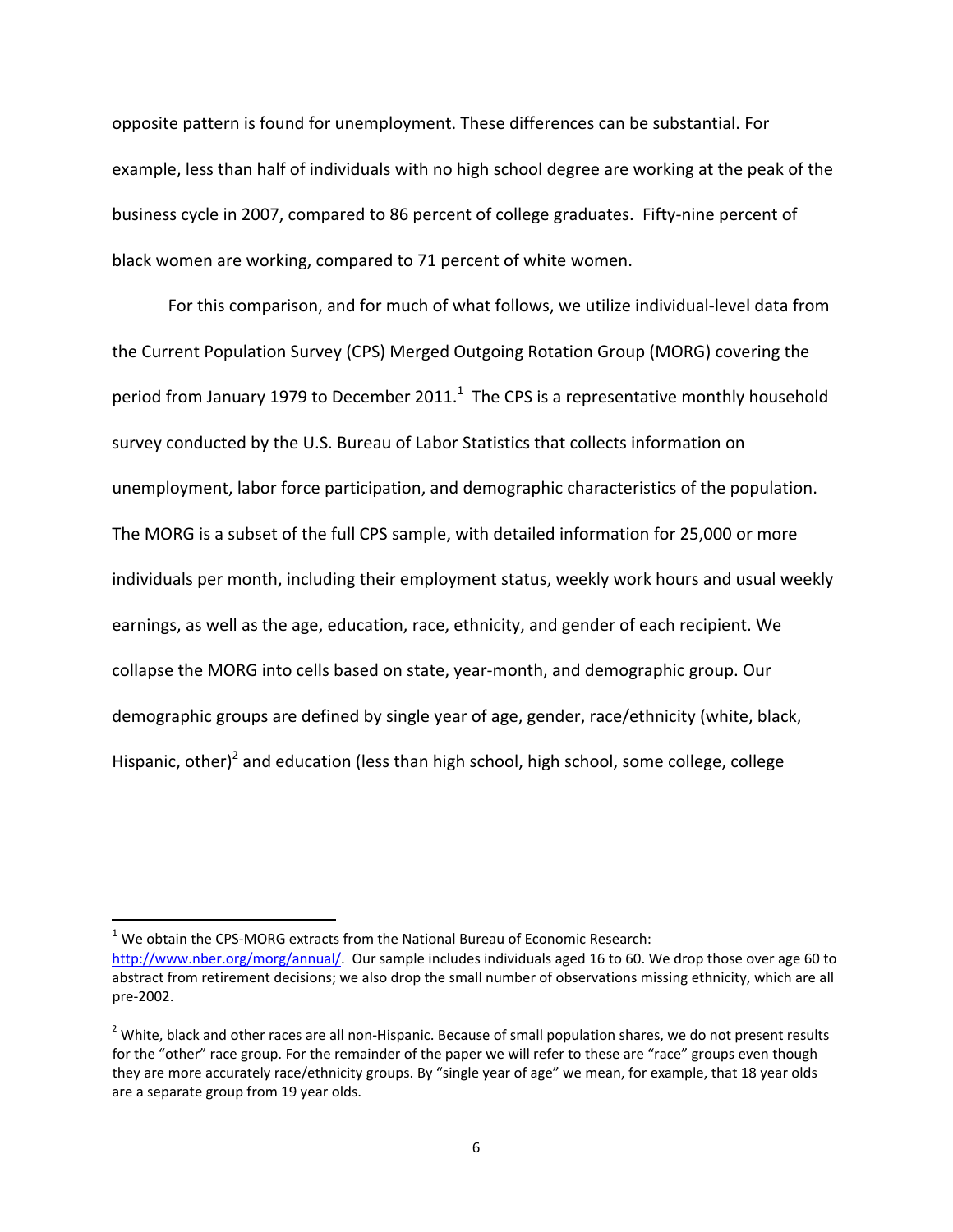opposite pattern is found for unemployment. These differences can be substantial. For example, less than half of individuals with no high school degree are working at the peak of the business cycle in 2007, compared to 86 percent of college graduates. Fifty-nine percent of black women are working, compared to 71 percent of white women.

For this comparison, and for much of what follows, we utilize individual‐level data from the Current Population Survey (CPS) Merged Outgoing Rotation Group (MORG) covering the period from January 1979 to December 2011. $^1$  The CPS is a representative monthly household survey conducted by the U.S. Bureau of Labor Statistics that collects information on unemployment, labor force participation, and demographic characteristics of the population. The MORG is a subset of the full CPS sample, with detailed information for 25,000 or more individuals per month, including their employment status, weekly work hours and usual weekly earnings, as well as the age, education, race, ethnicity, and gender of each recipient. We collapse the MORG into cells based on state, year‐month, and demographic group. Our demographic groups are defined by single year of age, gender, race/ethnicity (white, black, Hispanic, other)<sup>2</sup> and education (less than high school, high school, some college, college

 $1$  We obtain the CPS-MORG extracts from the National Bureau of Economic Research: http://www.nber.org/morg/annual/. Our sample includes individuals aged 16 to 60. We drop those over age 60 to abstract from retirement decisions; we also drop the small number of observations missing ethnicity, which are all pre‐2002.

 $2$  White, black and other races are all non-Hispanic. Because of small population shares, we do not present results for the "other" race group. For the remainder of the paper we will refer to these are "race" groups even though they are more accurately race/ethnicity groups. By "single year of age" we mean, for example, that 18 year olds are a separate group from 19 year olds.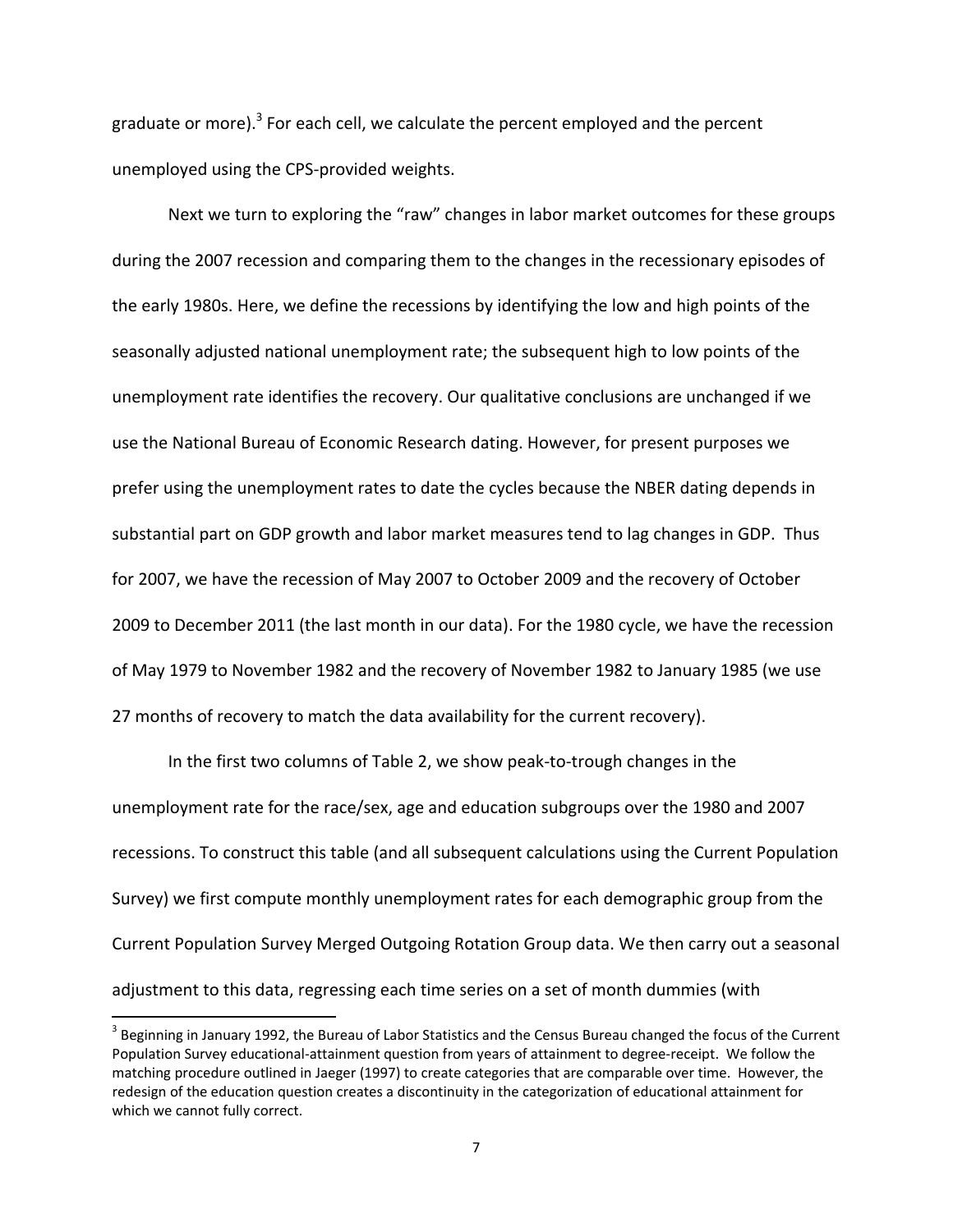graduate or more). $3$  For each cell, we calculate the percent employed and the percent unemployed using the CPS‐provided weights.

Next we turn to exploring the "raw" changes in labor market outcomes for these groups during the 2007 recession and comparing them to the changes in the recessionary episodes of the early 1980s. Here, we define the recessions by identifying the low and high points of the seasonally adjusted national unemployment rate; the subsequent high to low points of the unemployment rate identifies the recovery. Our qualitative conclusions are unchanged if we use the National Bureau of Economic Research dating. However, for present purposes we prefer using the unemployment rates to date the cycles because the NBER dating depends in substantial part on GDP growth and labor market measures tend to lag changes in GDP. Thus for 2007, we have the recession of May 2007 to October 2009 and the recovery of October 2009 to December 2011 (the last month in our data). For the 1980 cycle, we have the recession of May 1979 to November 1982 and the recovery of November 1982 to January 1985 (we use 27 months of recovery to match the data availability for the current recovery).

In the first two columns of Table 2, we show peak‐to‐trough changes in the unemployment rate for the race/sex, age and education subgroups over the 1980 and 2007 recessions. To construct this table (and all subsequent calculations using the Current Population Survey) we first compute monthly unemployment rates for each demographic group from the Current Population Survey Merged Outgoing Rotation Group data. We then carry out a seasonal adjustment to this data, regressing each time series on a set of month dummies (with

<sup>&</sup>lt;sup>3</sup> Beginning in January 1992, the Bureau of Labor Statistics and the Census Bureau changed the focus of the Current Population Survey educational‐attainment question from years of attainment to degree‐receipt. We follow the matching procedure outlined in Jaeger (1997) to create categories that are comparable over time. However, the redesign of the education question creates a discontinuity in the categorization of educational attainment for which we cannot fully correct.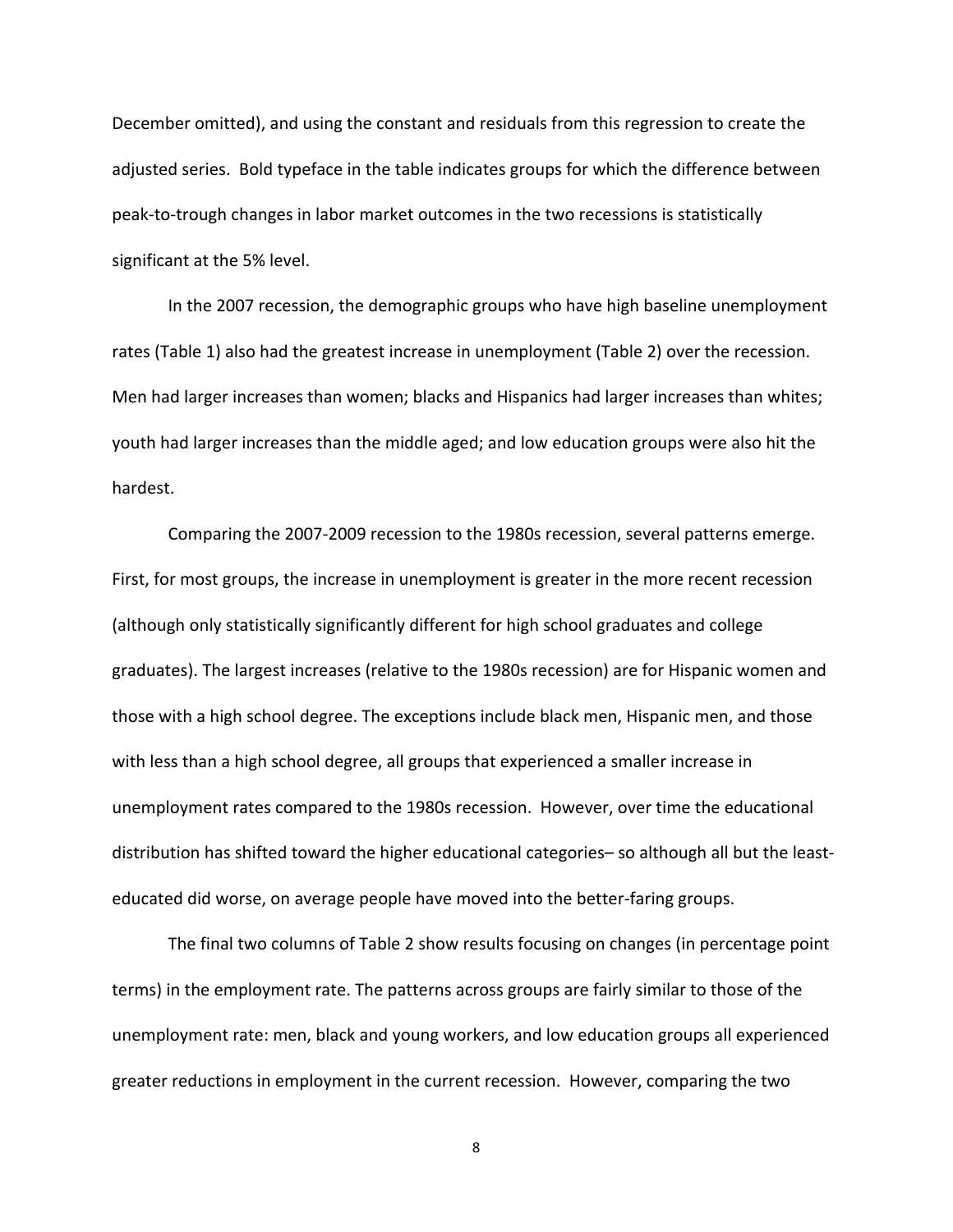December omitted), and using the constant and residuals from this regression to create the adjusted series. Bold typeface in the table indicates groups for which the difference between peak‐to‐trough changes in labor market outcomes in the two recessions is statistically significant at the 5% level.

In the 2007 recession, the demographic groups who have high baseline unemployment rates (Table 1) also had the greatest increase in unemployment (Table 2) over the recession. Men had larger increases than women; blacks and Hispanics had larger increases than whites; youth had larger increases than the middle aged; and low education groups were also hit the hardest.

Comparing the 2007‐2009 recession to the 1980s recession, several patterns emerge. First, for most groups, the increase in unemployment is greater in the more recent recession (although only statistically significantly different for high school graduates and college graduates). The largest increases (relative to the 1980s recession) are for Hispanic women and those with a high school degree. The exceptions include black men, Hispanic men, and those with less than a high school degree, all groups that experienced a smaller increase in unemployment rates compared to the 1980s recession. However, over time the educational distribution has shifted toward the higher educational categories– so although all but the least‐ educated did worse, on average people have moved into the better‐faring groups.

The final two columns of Table 2 show results focusing on changes (in percentage point terms) in the employment rate. The patterns across groups are fairly similar to those of the unemployment rate: men, black and young workers, and low education groups all experienced greater reductions in employment in the current recession. However, comparing the two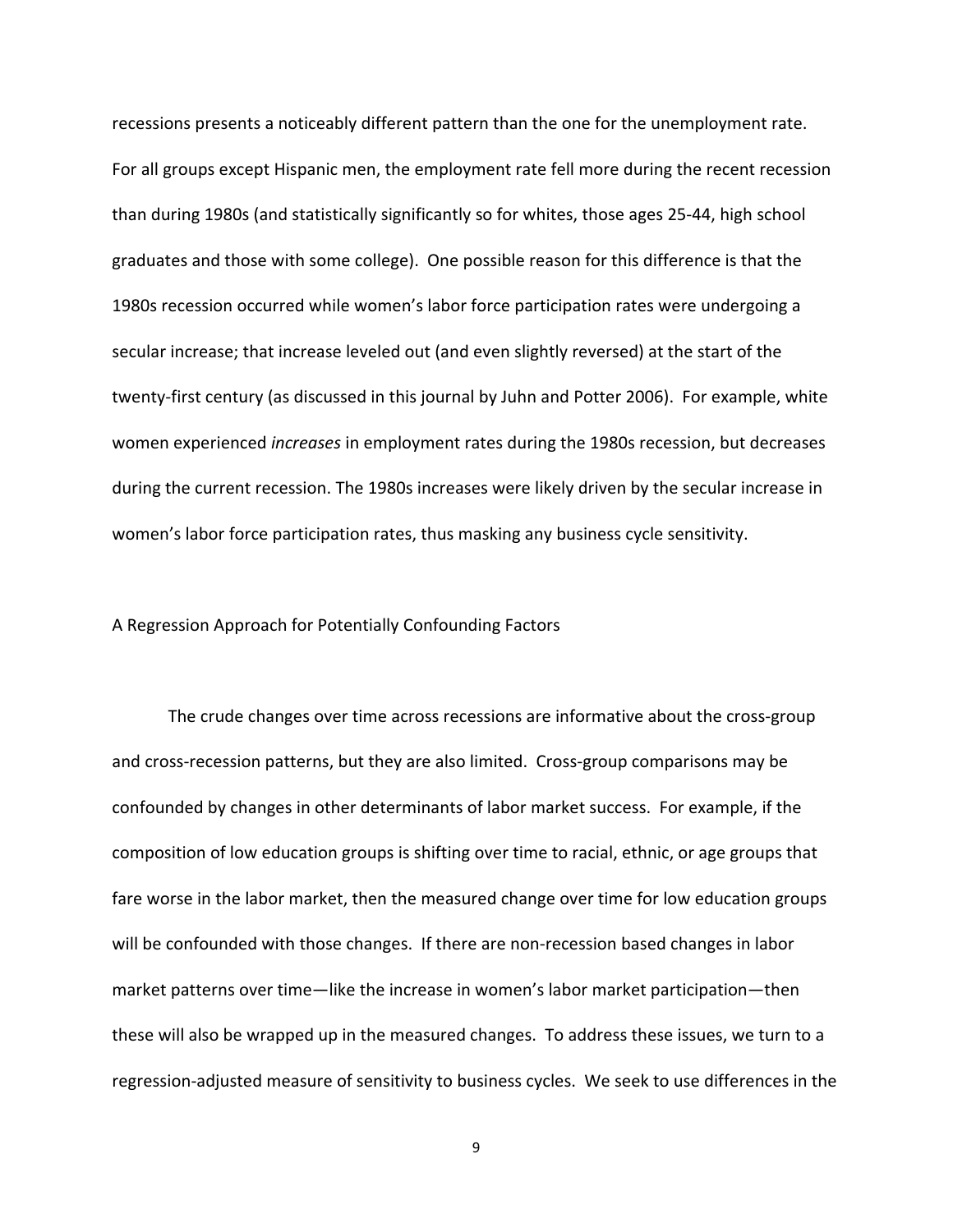recessions presents a noticeably different pattern than the one for the unemployment rate. For all groups except Hispanic men, the employment rate fell more during the recent recession than during 1980s (and statistically significantly so for whites, those ages 25‐44, high school graduates and those with some college). One possible reason for this difference is that the 1980s recession occurred while women's labor force participation rates were undergoing a secular increase; that increase leveled out (and even slightly reversed) at the start of the twenty‐first century (as discussed in this journal by Juhn and Potter 2006). For example, white women experienced *increases* in employment rates during the 1980s recession, but decreases during the current recession. The 1980s increases were likely driven by the secular increase in women's labor force participation rates, thus masking any business cycle sensitivity.

#### A Regression Approach for Potentially Confounding Factors

The crude changes over time across recessions are informative about the cross‐group and cross-recession patterns, but they are also limited. Cross-group comparisons may be confounded by changes in other determinants of labor market success. For example, if the composition of low education groups is shifting over time to racial, ethnic, or age groups that fare worse in the labor market, then the measured change over time for low education groups will be confounded with those changes. If there are non-recession based changes in labor market patterns over time—like the increase in women's labor market participation—then these will also be wrapped up in the measured changes. To address these issues, we turn to a regression‐adjusted measure of sensitivity to business cycles. We seek to use differences in the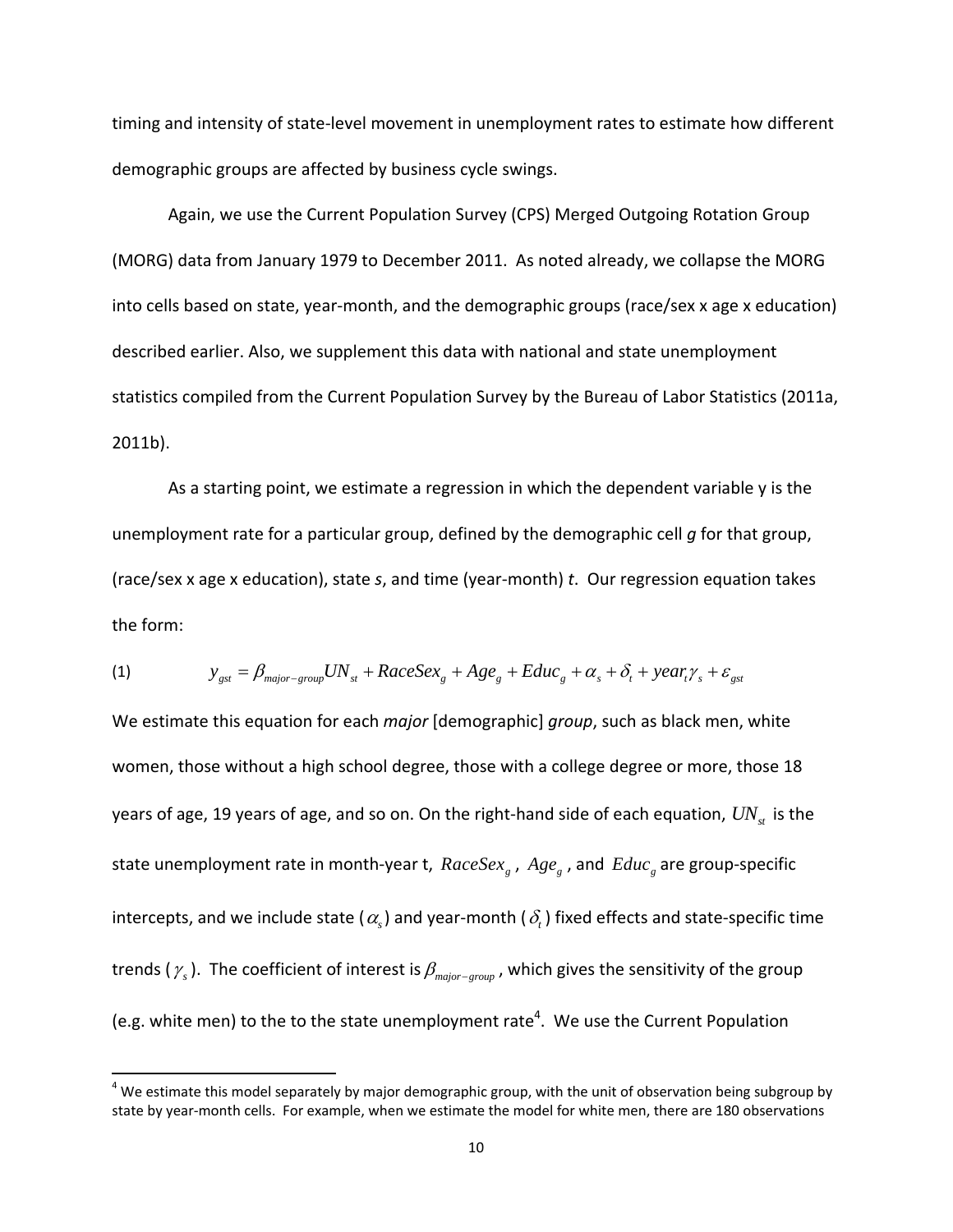timing and intensity of state‐level movement in unemployment rates to estimate how different demographic groups are affected by business cycle swings.

Again, we use the Current Population Survey (CPS) Merged Outgoing Rotation Group (MORG) data from January 1979 to December 2011. As noted already, we collapse the MORG into cells based on state, year-month, and the demographic groups (race/sex x age x education) described earlier. Also, we supplement this data with national and state unemployment statistics compiled from the Current Population Survey by the Bureau of Labor Statistics (2011a, 2011b).

As a starting point, we estimate a regression in which the dependent variable y is the unemployment rate for a particular group, defined by the demographic cell *g* for that group, (race/sex x age x education), state *s*, and time (year‐month) *t*. Our regression equation takes the form:

(1) 
$$
y_{gst} = \beta_{major-group} UN_{st} + RaceSex_s + Age_s + Educ_s + \alpha_s + \delta_t + year_t \gamma_s + \varepsilon_{gst}
$$

We estimate this equation for each *major* [demographic] *group*, such as black men, white women, those without a high school degree, those with a college degree or more, those 18 years of age, 19 years of age, and so on. On the right-hand side of each equation,  $UN_{st}$  is the state unemployment rate in month-year t,  $RaceSex<sub>g</sub>$ ,  $Age<sub>g</sub>$ , and  $Educ<sub>g</sub>$  are group-specific intercepts, and we include state ( $\alpha$ ) and year-month ( $\delta$ ) fixed effects and state-specific time trends ( $\gamma_s$ ). The coefficient of interest is  $\beta_{\text{major-group}}$ , which gives the sensitivity of the group (e.g. white men) to the to the state unemployment rate<sup>4</sup>. We use the Current Population

 $4$  We estimate this model separately by major demographic group, with the unit of observation being subgroup by state by year-month cells. For example, when we estimate the model for white men, there are 180 observations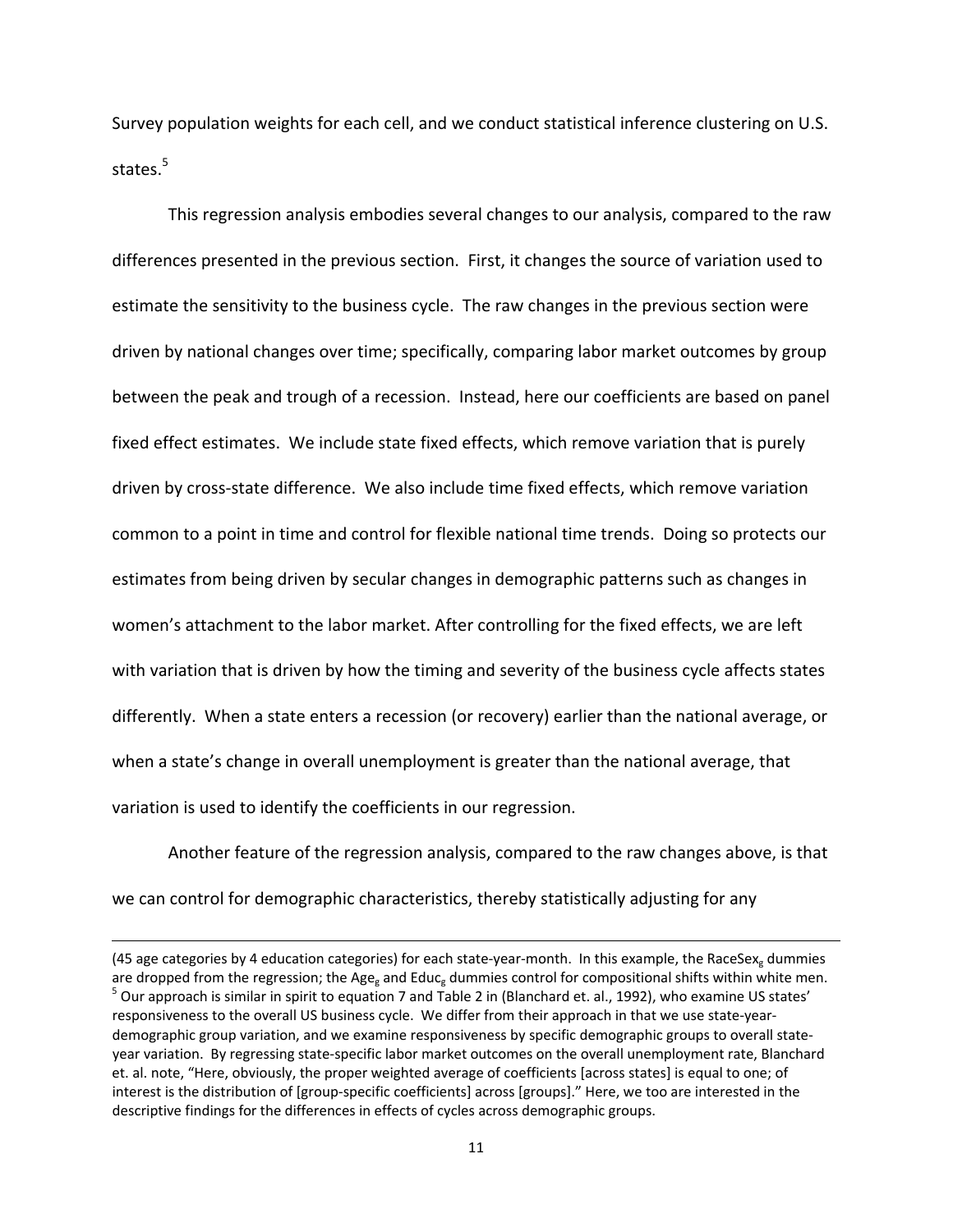Survey population weights for each cell, and we conduct statistical inference clustering on U.S. states.<sup>5</sup>

This regression analysis embodies several changes to our analysis, compared to the raw differences presented in the previous section. First, it changes the source of variation used to estimate the sensitivity to the business cycle. The raw changes in the previous section were driven by national changes over time; specifically, comparing labor market outcomes by group between the peak and trough of a recession. Instead, here our coefficients are based on panel fixed effect estimates. We include state fixed effects, which remove variation that is purely driven by cross‐state difference. We also include time fixed effects, which remove variation common to a point in time and control for flexible national time trends. Doing so protects our estimates from being driven by secular changes in demographic patterns such as changes in women's attachment to the labor market. After controlling for the fixed effects, we are left with variation that is driven by how the timing and severity of the business cycle affects states differently. When a state enters a recession (or recovery) earlier than the national average, or when a state's change in overall unemployment is greater than the national average, that variation is used to identify the coefficients in our regression.

Another feature of the regression analysis, compared to the raw changes above, is that we can control for demographic characteristics, thereby statistically adjusting for any

<u> 1989 - Johann Stein, marwolaethau a gweledydd a ganlad y ganlad y ganlad y ganlad y ganlad y ganlad y ganlad</u>

<sup>(45</sup> age categories by 4 education categories) for each state-year-month. In this example, the RaceSex<sub>g</sub> dummies are dropped from the regression; the Age<sub>g</sub> and Educ<sub>g</sub> dummies control for compositional shifts within whit <sup>5</sup> Our approach is similar in spirit to equation 7 and Table 2 in (Blanchard et. al., 1992), who examine US states' responsiveness to the overall US business cycle. We differ from their approach in that we use state-yeardemographic group variation, and we examine responsiveness by specific demographic groups to overall stateyear variation. By regressing state‐specific labor market outcomes on the overall unemployment rate, Blanchard et. al. note, "Here, obviously, the proper weighted average of coefficients [across states] is equal to one; of interest is the distribution of [group‐specific coefficients] across [groups]." Here, we too are interested in the descriptive findings for the differences in effects of cycles across demographic groups.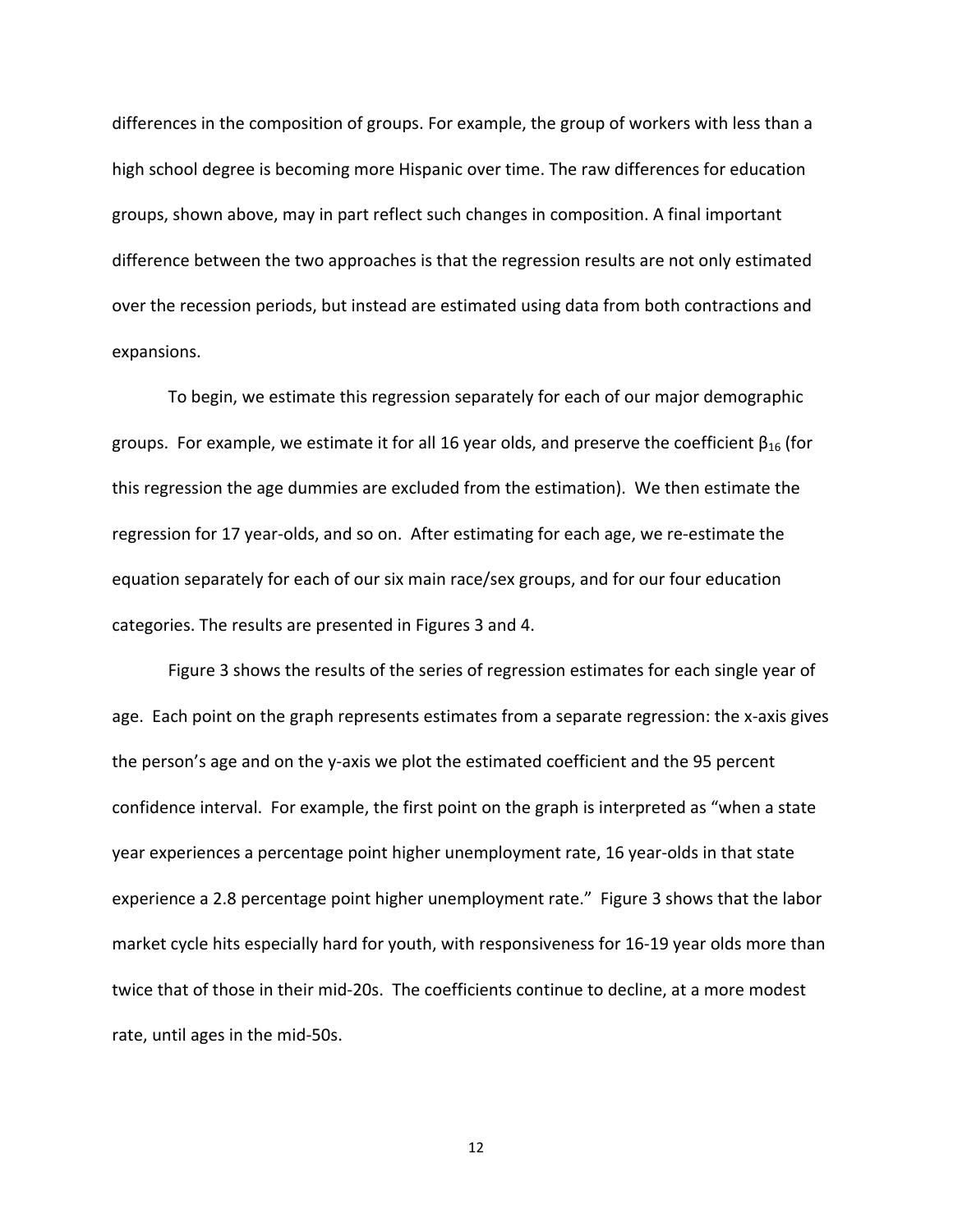differences in the composition of groups. For example, the group of workers with less than a high school degree is becoming more Hispanic over time. The raw differences for education groups, shown above, may in part reflect such changes in composition. A final important difference between the two approaches is that the regression results are not only estimated over the recession periods, but instead are estimated using data from both contractions and expansions.

To begin, we estimate this regression separately for each of our major demographic groups. For example, we estimate it for all 16 year olds, and preserve the coefficient  $\beta_{16}$  (for this regression the age dummies are excluded from the estimation). We then estimate the regression for 17 year‐olds, and so on. After estimating for each age, we re‐estimate the equation separately for each of our six main race/sex groups, and for our four education categories. The results are presented in Figures 3 and 4.

Figure 3 shows the results of the series of regression estimates for each single year of age. Each point on the graph represents estimates from a separate regression: the x-axis gives the person's age and on the y‐axis we plot the estimated coefficient and the 95 percent confidence interval. For example, the first point on the graph is interpreted as "when a state year experiences a percentage point higher unemployment rate, 16 year‐olds in that state experience a 2.8 percentage point higher unemployment rate." Figure 3 shows that the labor market cycle hits especially hard for youth, with responsiveness for 16‐19 year olds more than twice that of those in their mid‐20s. The coefficients continue to decline, at a more modest rate, until ages in the mid‐50s.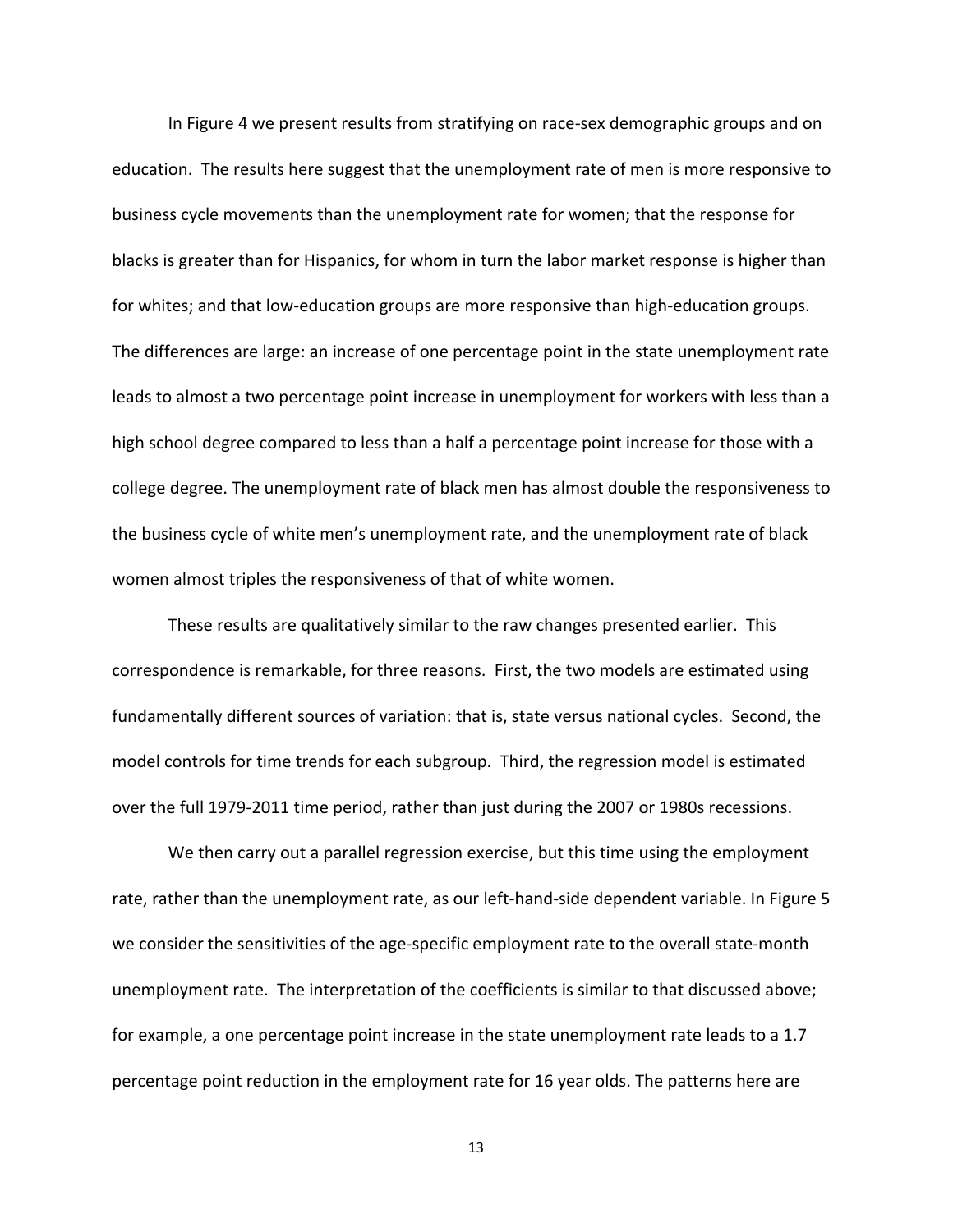In Figure 4 we present results from stratifying on race‐sex demographic groups and on education. The results here suggest that the unemployment rate of men is more responsive to business cycle movements than the unemployment rate for women; that the response for blacks is greater than for Hispanics, for whom in turn the labor market response is higher than for whites; and that low-education groups are more responsive than high-education groups. The differences are large: an increase of one percentage point in the state unemployment rate leads to almost a two percentage point increase in unemployment for workers with less than a high school degree compared to less than a half a percentage point increase for those with a college degree. The unemployment rate of black men has almost double the responsiveness to the business cycle of white men's unemployment rate, and the unemployment rate of black women almost triples the responsiveness of that of white women.

These results are qualitatively similar to the raw changes presented earlier. This correspondence is remarkable, for three reasons. First, the two models are estimated using fundamentally different sources of variation: that is, state versus national cycles. Second, the model controls for time trends for each subgroup. Third, the regression model is estimated over the full 1979‐2011 time period, rather than just during the 2007 or 1980s recessions.

We then carry out a parallel regression exercise, but this time using the employment rate, rather than the unemployment rate, as our left-hand-side dependent variable. In Figure 5 we consider the sensitivities of the age-specific employment rate to the overall state-month unemployment rate. The interpretation of the coefficients is similar to that discussed above; for example, a one percentage point increase in the state unemployment rate leads to a 1.7 percentage point reduction in the employment rate for 16 year olds. The patterns here are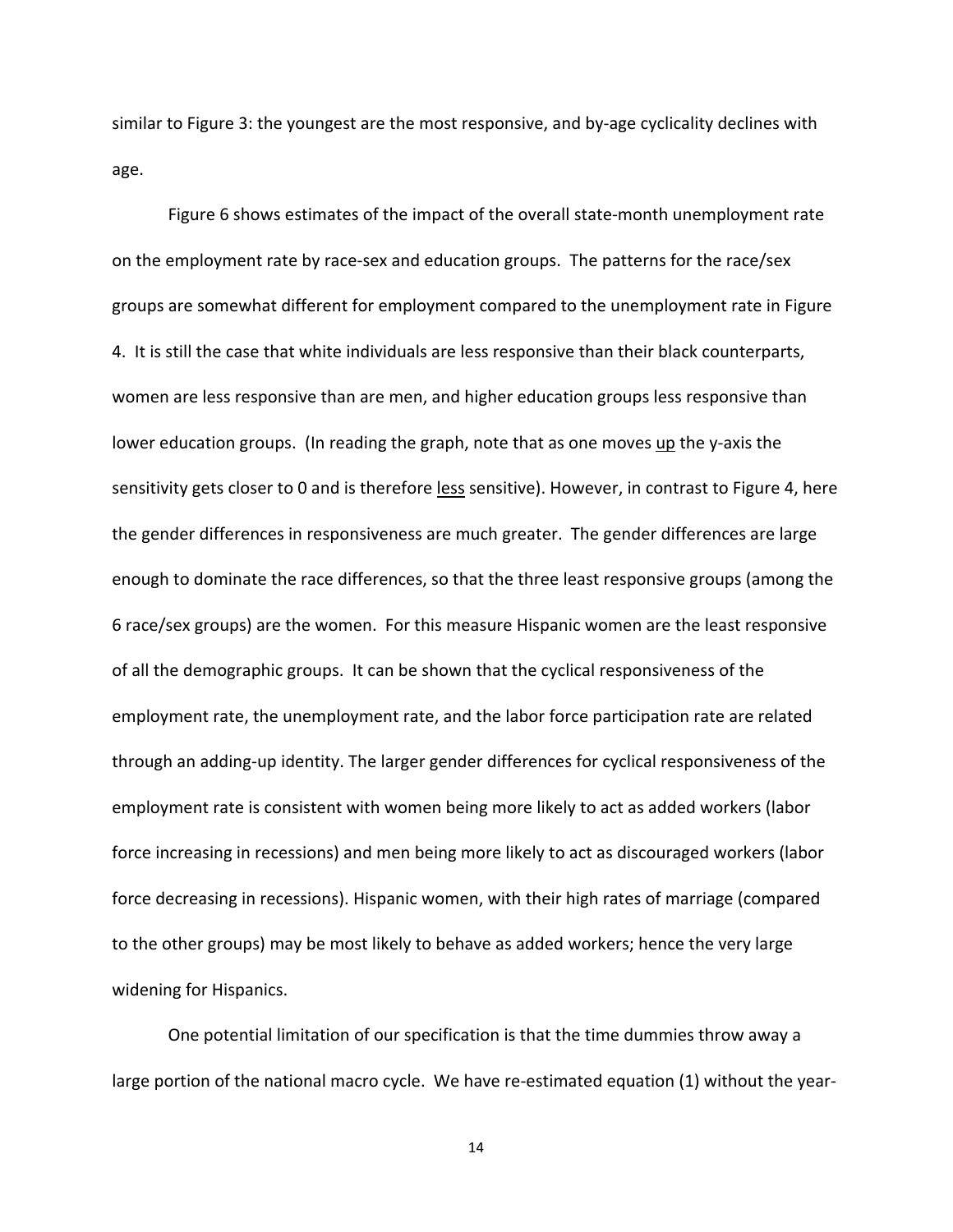similar to Figure 3: the youngest are the most responsive, and by-age cyclicality declines with age.

Figure 6 shows estimates of the impact of the overall state‐month unemployment rate on the employment rate by race-sex and education groups. The patterns for the race/sex groups are somewhat different for employment compared to the unemployment rate in Figure 4. It is still the case that white individuals are less responsive than their black counterparts, women are less responsive than are men, and higher education groups less responsive than lower education groups. (In reading the graph, note that as one moves up the y-axis the sensitivity gets closer to 0 and is therefore less sensitive). However, in contrast to Figure 4, here the gender differences in responsiveness are much greater. The gender differences are large enough to dominate the race differences, so that the three least responsive groups (among the 6 race/sex groups) are the women. For this measure Hispanic women are the least responsive of all the demographic groups. It can be shown that the cyclical responsiveness of the employment rate, the unemployment rate, and the labor force participation rate are related through an adding‐up identity. The larger gender differences for cyclical responsiveness of the employment rate is consistent with women being more likely to act as added workers (labor force increasing in recessions) and men being more likely to act as discouraged workers (labor force decreasing in recessions). Hispanic women, with their high rates of marriage (compared to the other groups) may be most likely to behave as added workers; hence the very large widening for Hispanics.

One potential limitation of our specification is that the time dummies throw away a large portion of the national macro cycle. We have re-estimated equation (1) without the year-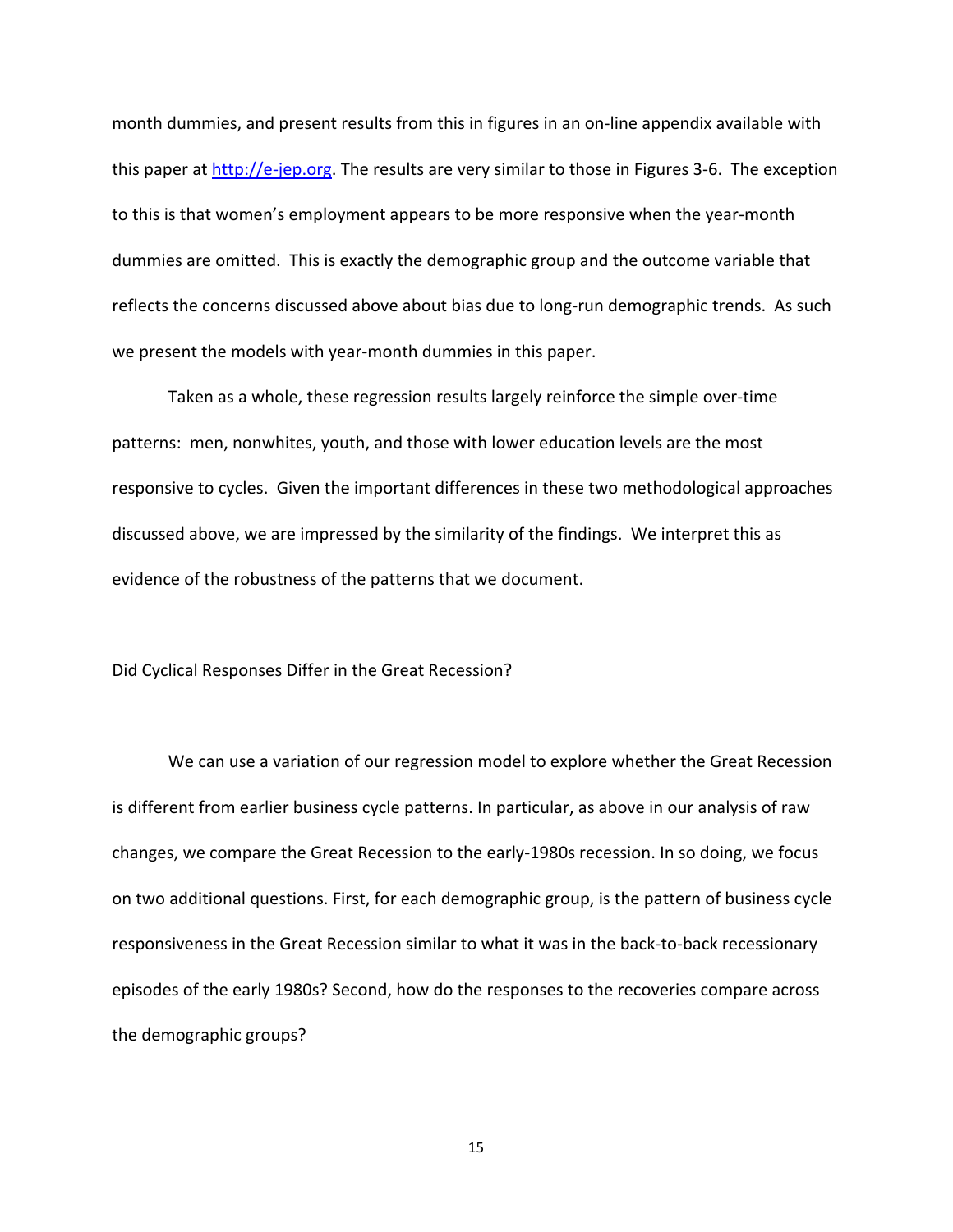month dummies, and present results from this in figures in an on‐line appendix available with this paper at http://e‐jep.org. The results are very similar to those in Figures 3‐6. The exception to this is that women's employment appears to be more responsive when the year‐month dummies are omitted. This is exactly the demographic group and the outcome variable that reflects the concerns discussed above about bias due to long-run demographic trends. As such we present the models with year-month dummies in this paper.

Taken as a whole, these regression results largely reinforce the simple over‐time patterns: men, nonwhites, youth, and those with lower education levels are the most responsive to cycles. Given the important differences in these two methodological approaches discussed above, we are impressed by the similarity of the findings. We interpret this as evidence of the robustness of the patterns that we document.

Did Cyclical Responses Differ in the Great Recession?

We can use a variation of our regression model to explore whether the Great Recession is different from earlier business cycle patterns. In particular, as above in our analysis of raw changes, we compare the Great Recession to the early‐1980s recession. In so doing, we focus on two additional questions. First, for each demographic group, is the pattern of business cycle responsiveness in the Great Recession similar to what it was in the back-to-back recessionary episodes of the early 1980s? Second, how do the responses to the recoveries compare across the demographic groups?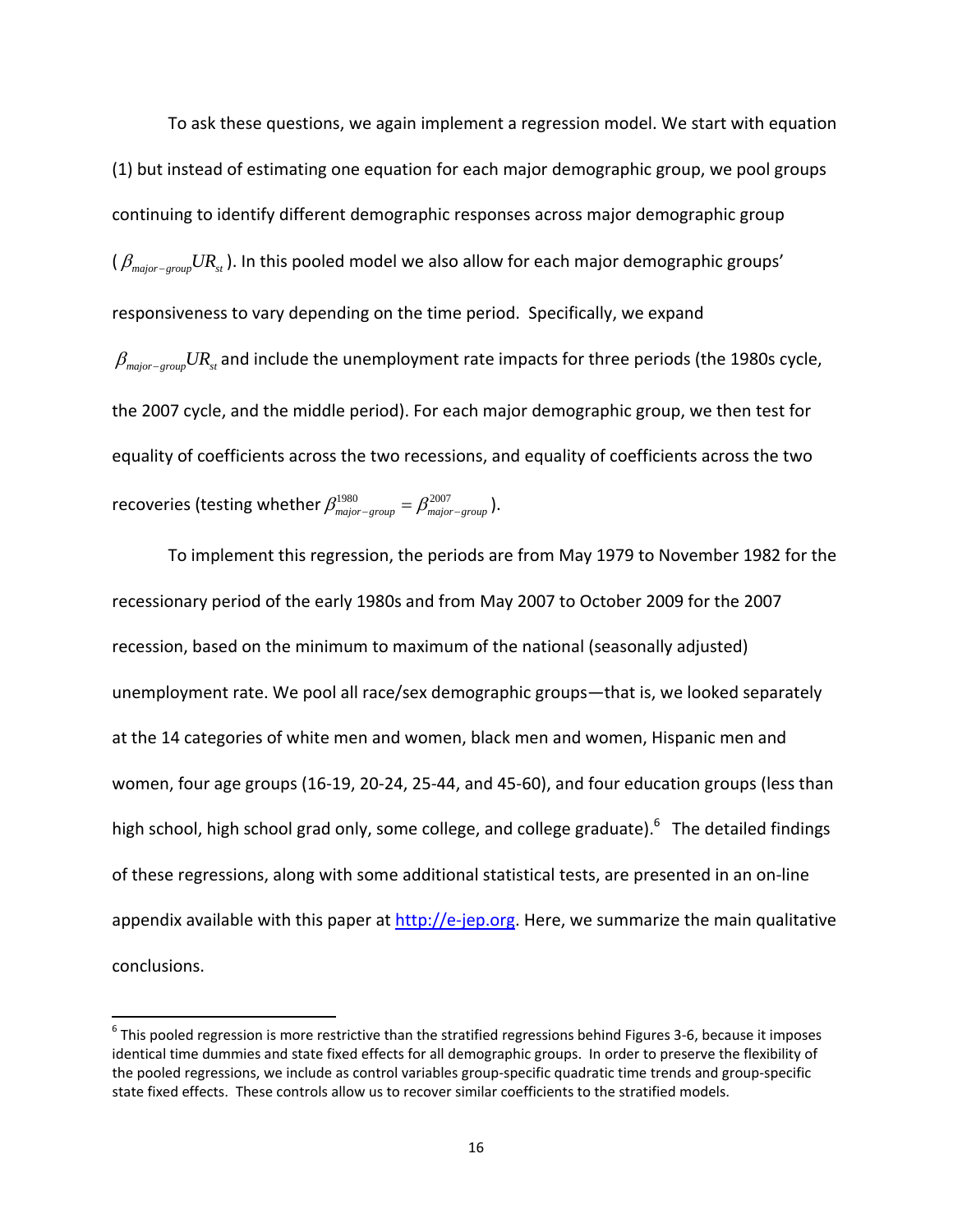To ask these questions, we again implement a regression model. We start with equation (1) but instead of estimating one equation for each major demographic group, we pool groups continuing to identify different demographic responses across major demographic group  $(\beta_{\textit{major-group}} U R_{\textit{st}})$ . In this pooled model we also allow for each major demographic groups' responsiveness to vary depending on the time period. Specifically, we expand  $\beta_{\textit{major-group}} U R_{\textit{st}}$  and include the unemployment rate impacts for three periods (the 1980s cycle, the 2007 cycle, and the middle period). For each major demographic group, we then test for equality of coefficients across the two recessions, and equality of coefficients across the two recoveries (testing whether  $\beta_{\text{major-group}}^{1980} = \beta_{\text{major-group}}^{2007}$ ).

To implement this regression, the periods are from May 1979 to November 1982 for the recessionary period of the early 1980s and from May 2007 to October 2009 for the 2007 recession, based on the minimum to maximum of the national (seasonally adjusted) unemployment rate. We pool all race/sex demographic groups—that is, we looked separately at the 14 categories of white men and women, black men and women, Hispanic men and women, four age groups (16‐19, 20‐24, 25‐44, and 45‐60), and four education groups (less than high school, high school grad only, some college, and college graduate).<sup>6</sup> The detailed findings of these regressions, along with some additional statistical tests, are presented in an on‐line appendix available with this paper at http://e-jep.org. Here, we summarize the main qualitative conclusions.

 $6$  This pooled regression is more restrictive than the stratified regressions behind Figures 3-6, because it imposes identical time dummies and state fixed effects for all demographic groups. In order to preserve the flexibility of the pooled regressions, we include as control variables group‐specific quadratic time trends and group‐specific state fixed effects. These controls allow us to recover similar coefficients to the stratified models.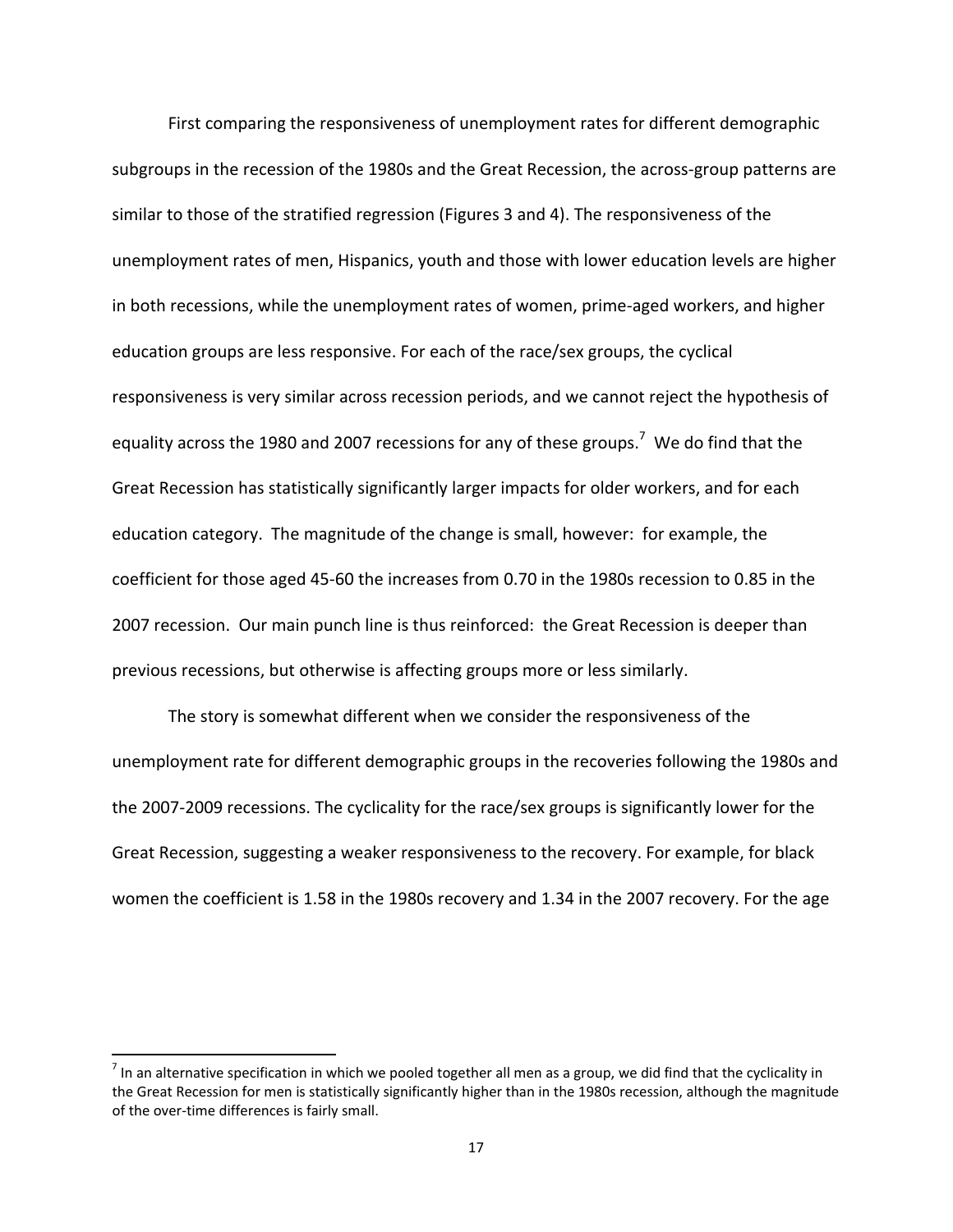First comparing the responsiveness of unemployment rates for different demographic subgroups in the recession of the 1980s and the Great Recession, the across-group patterns are similar to those of the stratified regression (Figures 3 and 4). The responsiveness of the unemployment rates of men, Hispanics, youth and those with lower education levels are higher in both recessions, while the unemployment rates of women, prime‐aged workers, and higher education groups are less responsive. For each of the race/sex groups, the cyclical responsiveness is very similar across recession periods, and we cannot reject the hypothesis of equality across the 1980 and 2007 recessions for any of these groups.<sup>7</sup> We do find that the Great Recession has statistically significantly larger impacts for older workers, and for each education category. The magnitude of the change is small, however: for example, the coefficient for those aged 45‐60 the increases from 0.70 in the 1980s recession to 0.85 in the 2007 recession. Our main punch line is thus reinforced: the Great Recession is deeper than previous recessions, but otherwise is affecting groups more or less similarly.

The story is somewhat different when we consider the responsiveness of the unemployment rate for different demographic groups in the recoveries following the 1980s and the 2007‐2009 recessions. The cyclicality for the race/sex groups is significantly lower for the Great Recession, suggesting a weaker responsiveness to the recovery. For example, for black women the coefficient is 1.58 in the 1980s recovery and 1.34 in the 2007 recovery. For the age

 $<sup>7</sup>$  In an alternative specification in which we pooled together all men as a group, we did find that the cyclicality in</sup> the Great Recession for men is statistically significantly higher than in the 1980s recession, although the magnitude of the over-time differences is fairly small.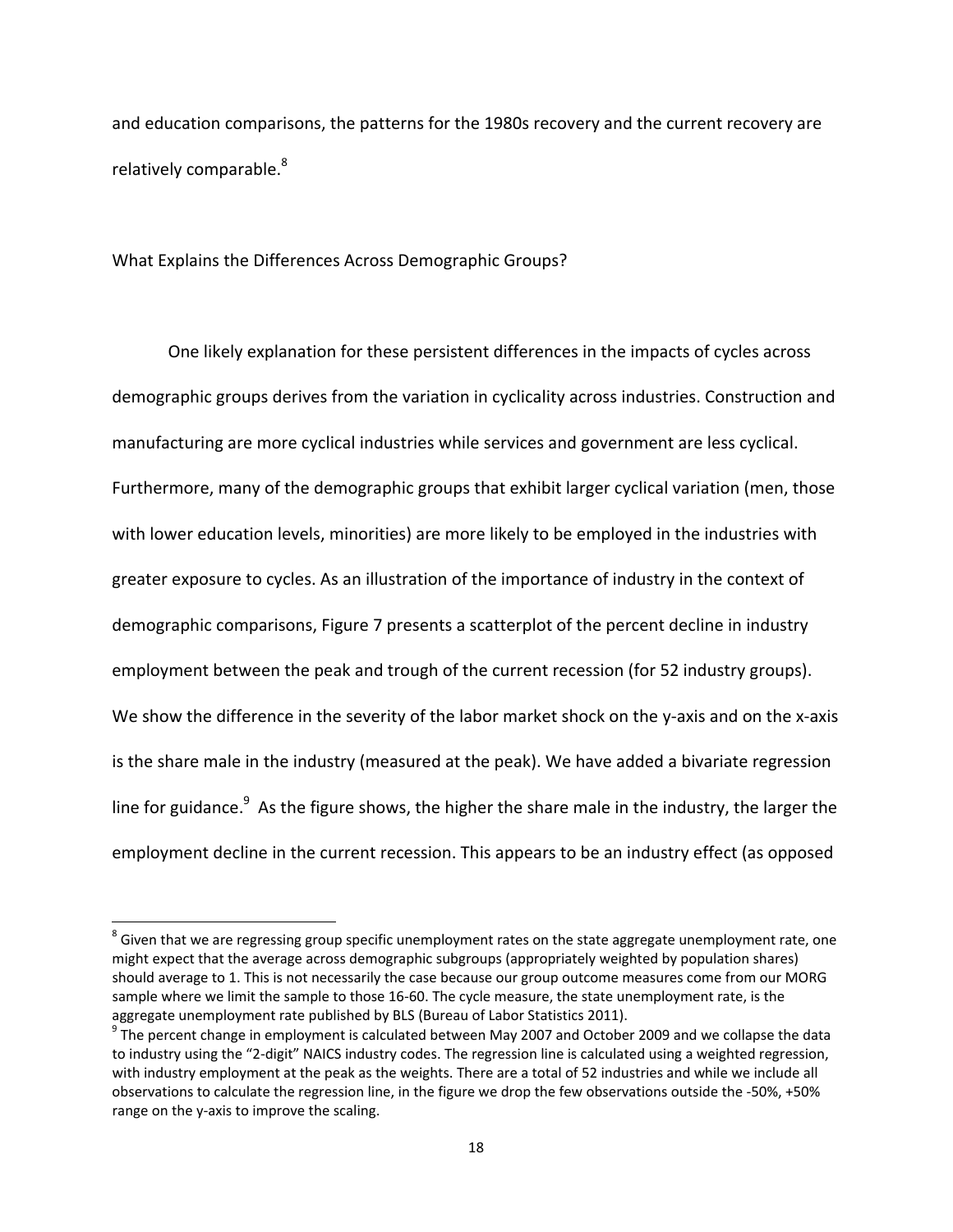and education comparisons, the patterns for the 1980s recovery and the current recovery are relatively comparable.<sup>8</sup>

What Explains the Differences Across Demographic Groups?

One likely explanation for these persistent differences in the impacts of cycles across demographic groups derives from the variation in cyclicality across industries. Construction and manufacturing are more cyclical industries while services and government are less cyclical. Furthermore, many of the demographic groups that exhibit larger cyclical variation (men, those with lower education levels, minorities) are more likely to be employed in the industries with greater exposure to cycles. As an illustration of the importance of industry in the context of demographic comparisons, Figure 7 presents a scatterplot of the percent decline in industry employment between the peak and trough of the current recession (for 52 industry groups). We show the difference in the severity of the labor market shock on the y-axis and on the x-axis is the share male in the industry (measured at the peak). We have added a bivariate regression line for guidance.<sup>9</sup> As the figure shows, the higher the share male in the industry, the larger the employment decline in the current recession. This appears to be an industry effect (as opposed

 $8$  Given that we are regressing group specific unemployment rates on the state aggregate unemployment rate, one might expect that the average across demographic subgroups (appropriately weighted by population shares) should average to 1. This is not necessarily the case because our group outcome measures come from our MORG sample where we limit the sample to those 16-60. The cycle measure, the state unemployment rate, is the

aggregate unemployment rate published by BLS (Bureau of Labor Statistics 2011).<br>
<sup>9</sup> The percent change in employment is calculated between May 2007 and October 2009 and we collapse the data to industry using the "2‐digit" NAICS industry codes. The regression line is calculated using a weighted regression, with industry employment at the peak as the weights. There are a total of 52 industries and while we include all observations to calculate the regression line, in the figure we drop the few observations outside the ‐50%, +50% range on the y-axis to improve the scaling.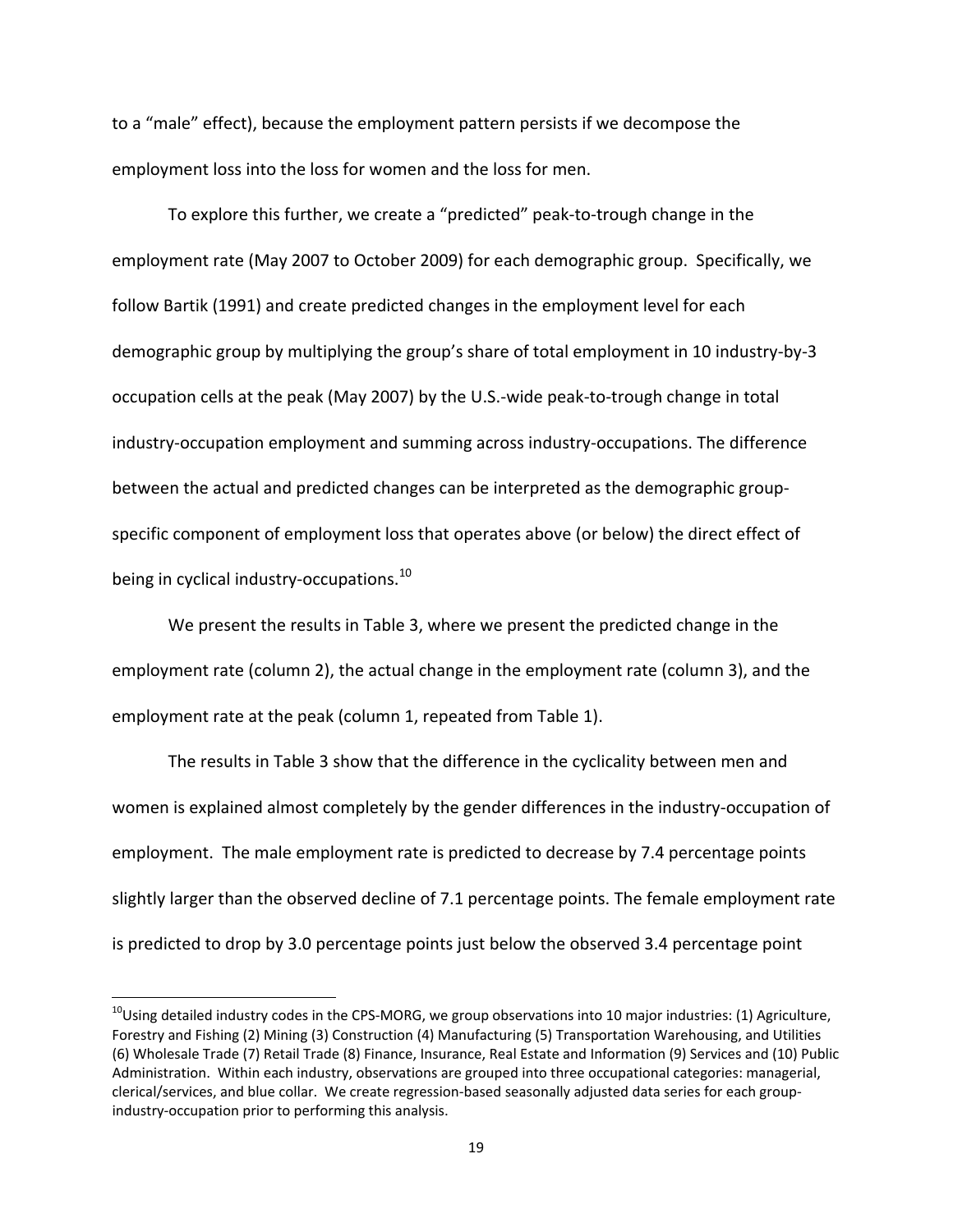to a "male" effect), because the employment pattern persists if we decompose the employment loss into the loss for women and the loss for men.

To explore this further, we create a "predicted" peak‐to‐trough change in the employment rate (May 2007 to October 2009) for each demographic group. Specifically, we follow Bartik (1991) and create predicted changes in the employment level for each demographic group by multiplying the group's share of total employment in 10 industry‐by‐3 occupation cells at the peak (May 2007) by the U.S.‐wide peak‐to‐trough change in total industry‐occupation employment and summing across industry‐occupations. The difference between the actual and predicted changes can be interpreted as the demographic group‐ specific component of employment loss that operates above (or below) the direct effect of being in cyclical industry-occupations.<sup>10</sup>

We present the results in Table 3, where we present the predicted change in the employment rate (column 2), the actual change in the employment rate (column 3), and the employment rate at the peak (column 1, repeated from Table 1).

The results in Table 3 show that the difference in the cyclicality between men and women is explained almost completely by the gender differences in the industry-occupation of employment. The male employment rate is predicted to decrease by 7.4 percentage points slightly larger than the observed decline of 7.1 percentage points. The female employment rate is predicted to drop by 3.0 percentage points just below the observed 3.4 percentage point

 $10$ Using detailed industry codes in the CPS-MORG, we group observations into 10 major industries: (1) Agriculture, Forestry and Fishing (2) Mining (3) Construction (4) Manufacturing (5) Transportation Warehousing, and Utilities (6) Wholesale Trade (7) Retail Trade (8) Finance, Insurance, Real Estate and Information (9) Services and (10) Public Administration. Within each industry, observations are grouped into three occupational categories: managerial, clerical/services, and blue collar. We create regression‐based seasonally adjusted data series for each group‐ industry‐occupation prior to performing this analysis.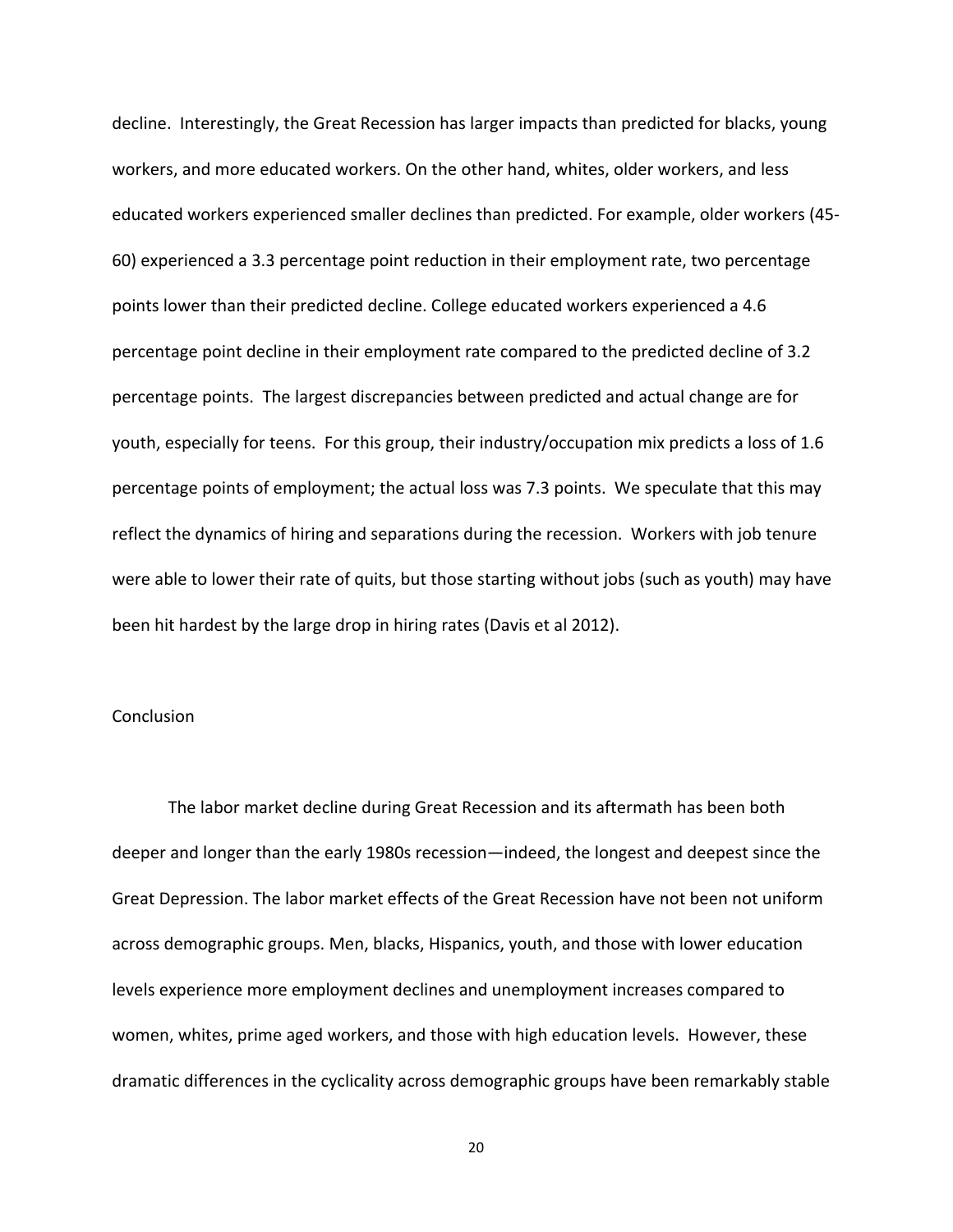decline. Interestingly, the Great Recession has larger impacts than predicted for blacks, young workers, and more educated workers. On the other hand, whites, older workers, and less educated workers experienced smaller declines than predicted. For example, older workers (45‐ 60) experienced a 3.3 percentage point reduction in their employment rate, two percentage points lower than their predicted decline. College educated workers experienced a 4.6 percentage point decline in their employment rate compared to the predicted decline of 3.2 percentage points. The largest discrepancies between predicted and actual change are for youth, especially for teens. For this group, their industry/occupation mix predicts a loss of 1.6 percentage points of employment; the actual loss was 7.3 points. We speculate that this may reflect the dynamics of hiring and separations during the recession. Workers with job tenure were able to lower their rate of quits, but those starting without jobs (such as youth) may have been hit hardest by the large drop in hiring rates (Davis et al 2012).

# **Conclusion**

The labor market decline during Great Recession and its aftermath has been both deeper and longer than the early 1980s recession—indeed, the longest and deepest since the Great Depression. The labor market effects of the Great Recession have not been not uniform across demographic groups. Men, blacks, Hispanics, youth, and those with lower education levels experience more employment declines and unemployment increases compared to women, whites, prime aged workers, and those with high education levels. However, these dramatic differences in the cyclicality across demographic groups have been remarkably stable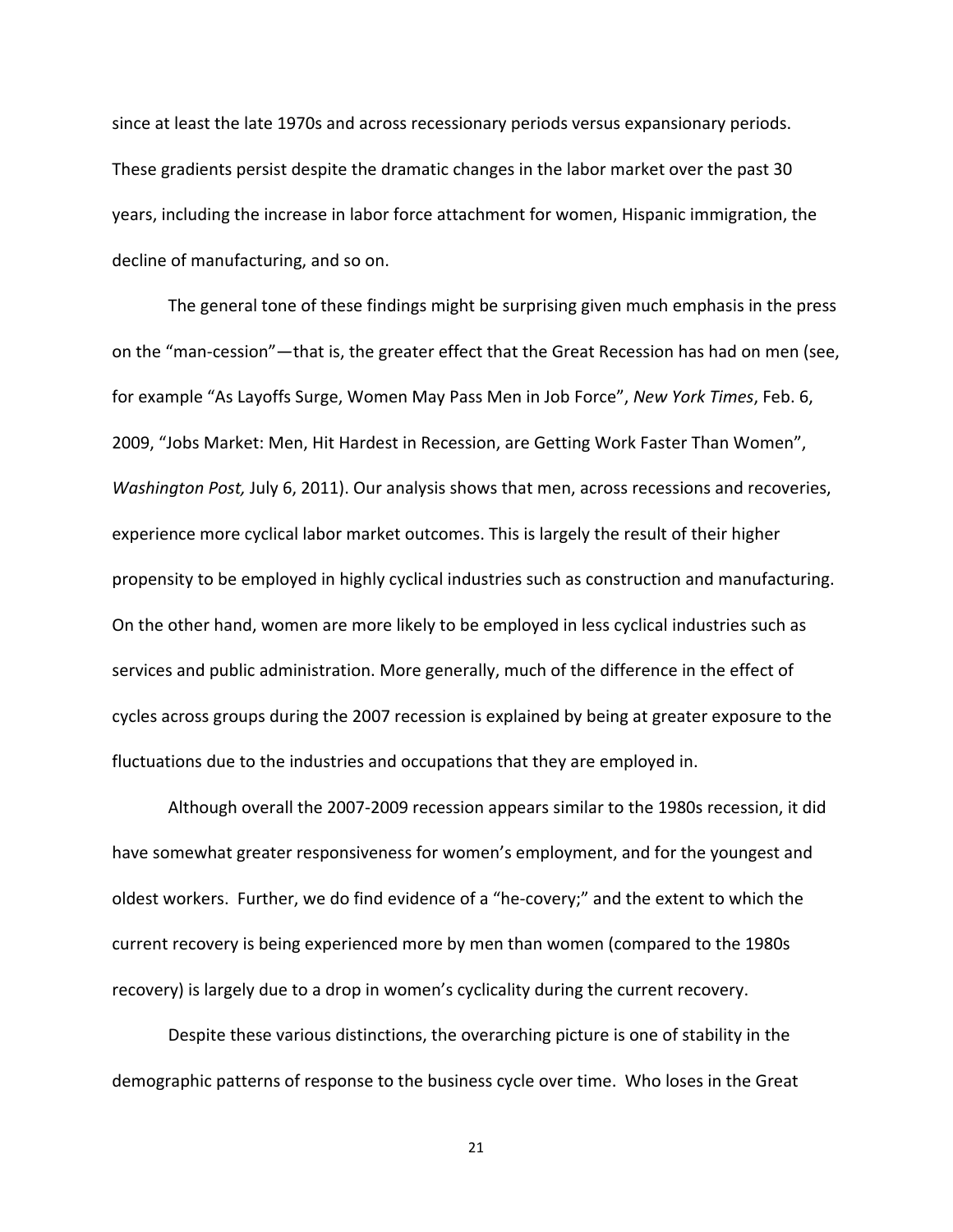since at least the late 1970s and across recessionary periods versus expansionary periods. These gradients persist despite the dramatic changes in the labor market over the past 30 years, including the increase in labor force attachment for women, Hispanic immigration, the decline of manufacturing, and so on.

The general tone of these findings might be surprising given much emphasis in the press on the "man‐cession"—that is, the greater effect that the Great Recession has had on men (see, for example "As Layoffs Surge, Women May Pass Men in Job Force", *New York Times*, Feb. 6, 2009, "Jobs Market: Men, Hit Hardest in Recession, are Getting Work Faster Than Women", *Washington Post,* July 6, 2011). Our analysis shows that men, across recessions and recoveries, experience more cyclical labor market outcomes. This is largely the result of their higher propensity to be employed in highly cyclical industries such as construction and manufacturing. On the other hand, women are more likely to be employed in less cyclical industries such as services and public administration. More generally, much of the difference in the effect of cycles across groups during the 2007 recession is explained by being at greater exposure to the fluctuations due to the industries and occupations that they are employed in.

Although overall the 2007‐2009 recession appears similar to the 1980s recession, it did have somewhat greater responsiveness for women's employment, and for the youngest and oldest workers. Further, we do find evidence of a "he‐covery;" and the extent to which the current recovery is being experienced more by men than women (compared to the 1980s recovery) is largely due to a drop in women's cyclicality during the current recovery.

Despite these various distinctions, the overarching picture is one of stability in the demographic patterns of response to the business cycle over time. Who loses in the Great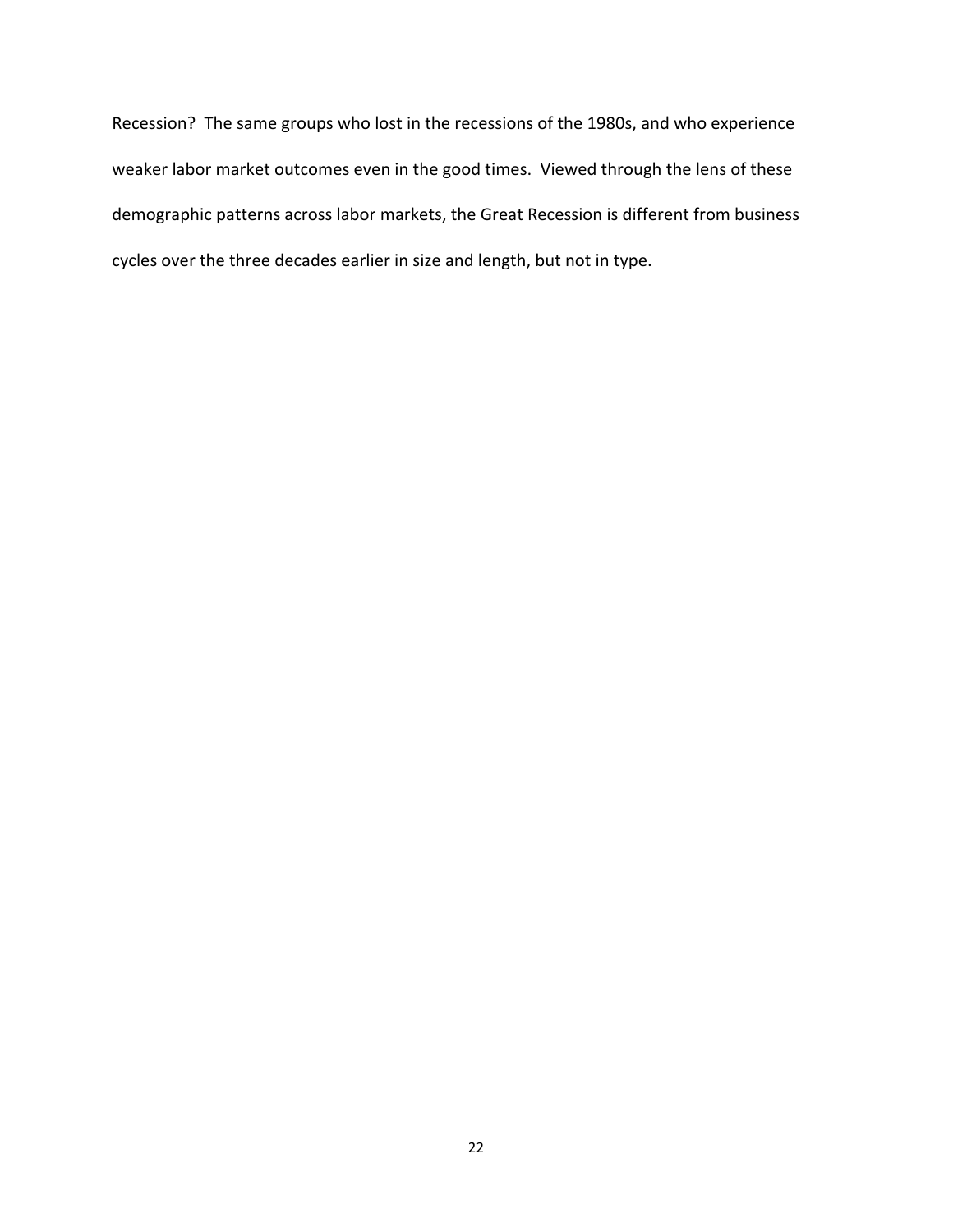Recession? The same groups who lost in the recessions of the 1980s, and who experience weaker labor market outcomes even in the good times. Viewed through the lens of these demographic patterns across labor markets, the Great Recession is different from business cycles over the three decades earlier in size and length, but not in type.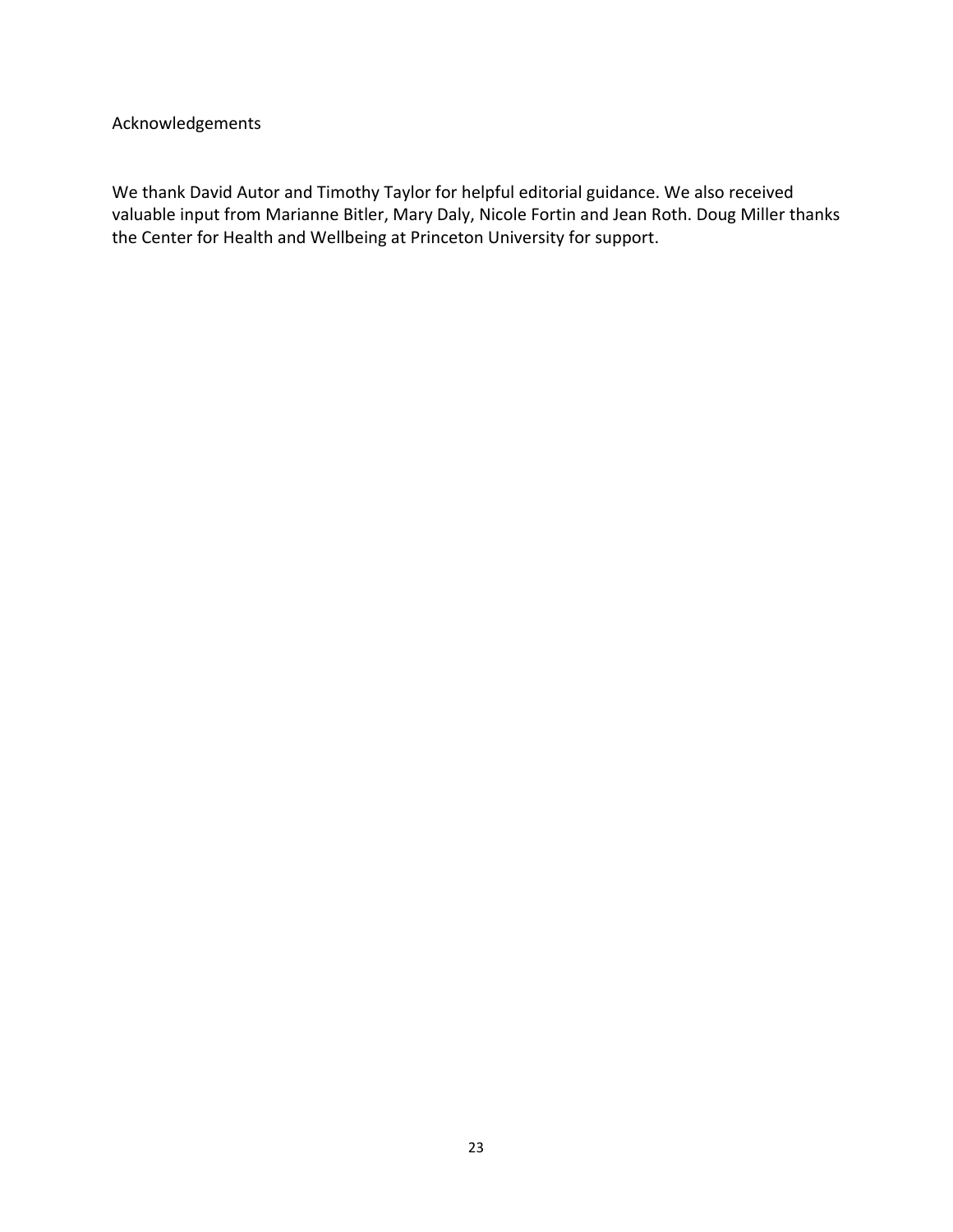# Acknowledgements

We thank David Autor and Timothy Taylor for helpful editorial guidance. We also received valuable input from Marianne Bitler, Mary Daly, Nicole Fortin and Jean Roth. Doug Miller thanks the Center for Health and Wellbeing at Princeton University for support.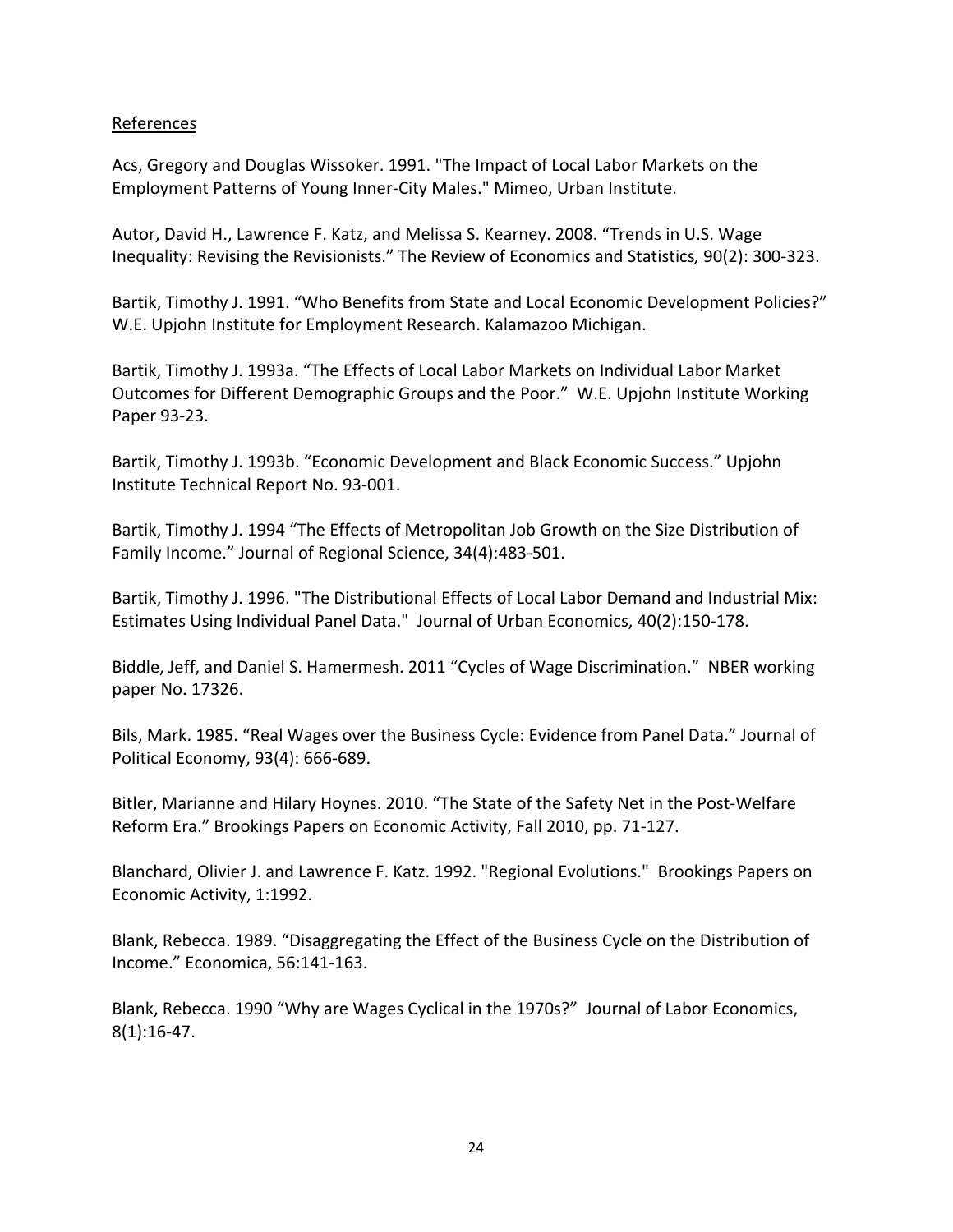# References

Acs, Gregory and Douglas Wissoker. 1991. "The Impact of Local Labor Markets on the Employment Patterns of Young Inner‐City Males." Mimeo, Urban Institute.

Autor, David H., Lawrence F. Katz, and Melissa S. Kearney. 2008. "Trends in U.S. Wage Inequality: Revising the Revisionists." The Review of Economics and Statistics*,* 90(2): 300‐323.

Bartik, Timothy J. 1991. "Who Benefits from State and Local Economic Development Policies?" W.E. Upjohn Institute for Employment Research. Kalamazoo Michigan.

Bartik, Timothy J. 1993a. "The Effects of Local Labor Markets on Individual Labor Market Outcomes for Different Demographic Groups and the Poor." W.E. Upjohn Institute Working Paper 93‐23.

Bartik, Timothy J. 1993b. "Economic Development and Black Economic Success." Upjohn Institute Technical Report No. 93‐001.

Bartik, Timothy J. 1994 "The Effects of Metropolitan Job Growth on the Size Distribution of Family Income." Journal of Regional Science, 34(4):483‐501.

Bartik, Timothy J. 1996. "The Distributional Effects of Local Labor Demand and Industrial Mix: Estimates Using Individual Panel Data." Journal of Urban Economics, 40(2):150‐178.

Biddle, Jeff, and Daniel S. Hamermesh. 2011 "Cycles of Wage Discrimination." NBER working paper No. 17326.

Bils, Mark. 1985. "Real Wages over the Business Cycle: Evidence from Panel Data." Journal of Political Economy, 93(4): 666‐689.

Bitler, Marianne and Hilary Hoynes. 2010. "The State of the Safety Net in the Post‐Welfare Reform Era." Brookings Papers on Economic Activity, Fall 2010, pp. 71‐127.

Blanchard, Olivier J. and Lawrence F. Katz. 1992. "Regional Evolutions." Brookings Papers on Economic Activity, 1:1992.

Blank, Rebecca. 1989. "Disaggregating the Effect of the Business Cycle on the Distribution of Income." Economica, 56:141‐163.

Blank, Rebecca. 1990 "Why are Wages Cyclical in the 1970s?" Journal of Labor Economics, 8(1):16‐47.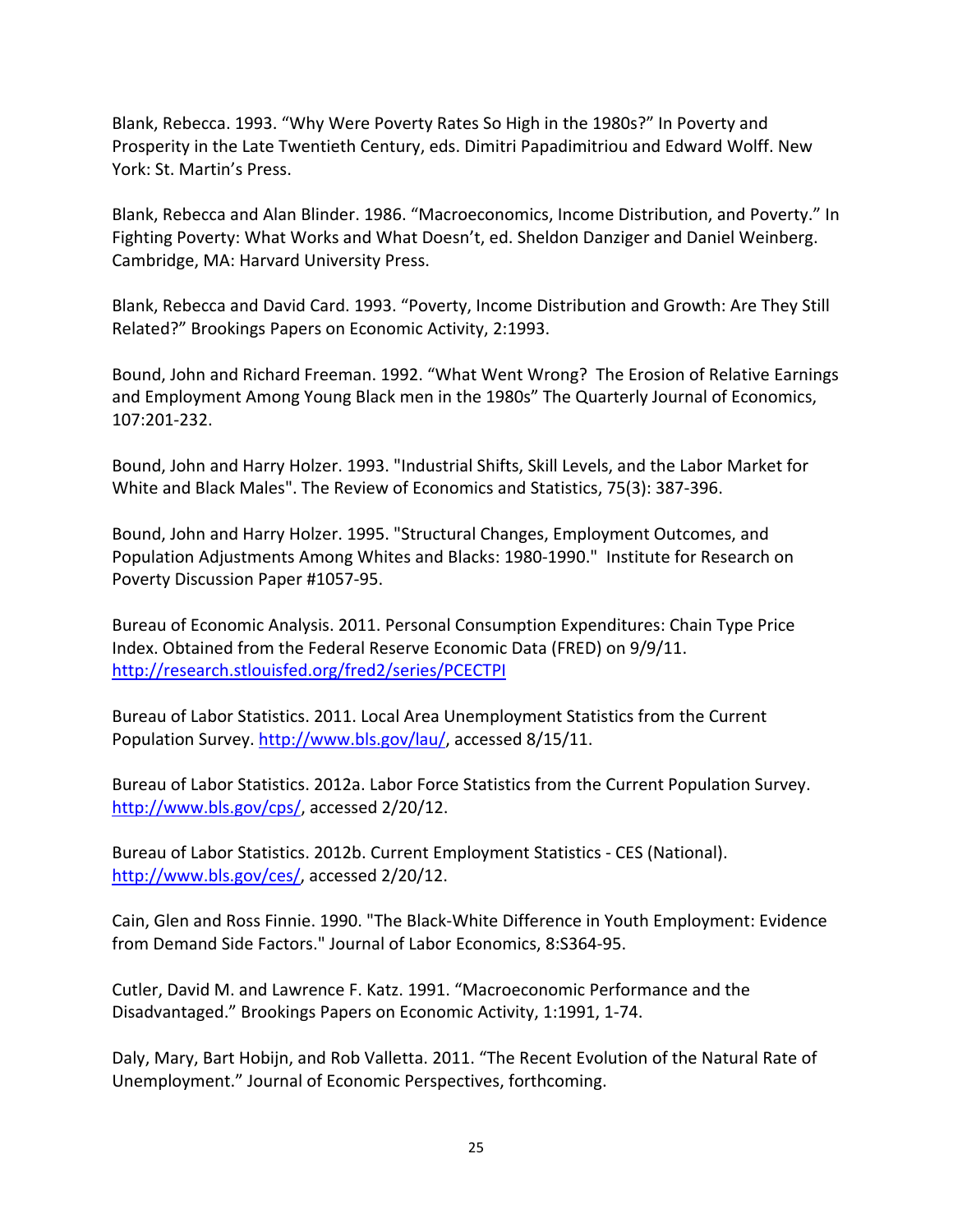Blank, Rebecca. 1993. "Why Were Poverty Rates So High in the 1980s?" In Poverty and Prosperity in the Late Twentieth Century, eds. Dimitri Papadimitriou and Edward Wolff. New York: St. Martin's Press.

Blank, Rebecca and Alan Blinder. 1986. "Macroeconomics, Income Distribution, and Poverty." In Fighting Poverty: What Works and What Doesn't, ed. Sheldon Danziger and Daniel Weinberg. Cambridge, MA: Harvard University Press.

Blank, Rebecca and David Card. 1993. "Poverty, Income Distribution and Growth: Are They Still Related?" Brookings Papers on Economic Activity, 2:1993.

Bound, John and Richard Freeman. 1992. "What Went Wrong? The Erosion of Relative Earnings and Employment Among Young Black men in the 1980s" The Quarterly Journal of Economics, 107:201‐232.

Bound, John and Harry Holzer. 1993. "Industrial Shifts, Skill Levels, and the Labor Market for White and Black Males". The Review of Economics and Statistics, 75(3): 387‐396.

Bound, John and Harry Holzer. 1995. "Structural Changes, Employment Outcomes, and Population Adjustments Among Whites and Blacks: 1980‐1990." Institute for Research on Poverty Discussion Paper #1057‐95.

Bureau of Economic Analysis. 2011. Personal Consumption Expenditures: Chain Type Price Index. Obtained from the Federal Reserve Economic Data (FRED) on 9/9/11. http://research.stlouisfed.org/fred2/series/PCECTPI

Bureau of Labor Statistics. 2011. Local Area Unemployment Statistics from the Current Population Survey. http://www.bls.gov/lau/, accessed 8/15/11.

Bureau of Labor Statistics. 2012a. Labor Force Statistics from the Current Population Survey. http://www.bls.gov/cps/, accessed 2/20/12.

Bureau of Labor Statistics. 2012b. Current Employment Statistics ‐ CES (National). http://www.bls.gov/ces/, accessed 2/20/12.

Cain, Glen and Ross Finnie. 1990. "The Black‐White Difference in Youth Employment: Evidence from Demand Side Factors." Journal of Labor Economics, 8:S364‐95.

Cutler, David M. and Lawrence F. Katz. 1991. "Macroeconomic Performance and the Disadvantaged." Brookings Papers on Economic Activity, 1:1991, 1‐74.

Daly, Mary, Bart Hobijn, and Rob Valletta. 2011. "The Recent Evolution of the Natural Rate of Unemployment." Journal of Economic Perspectives, forthcoming.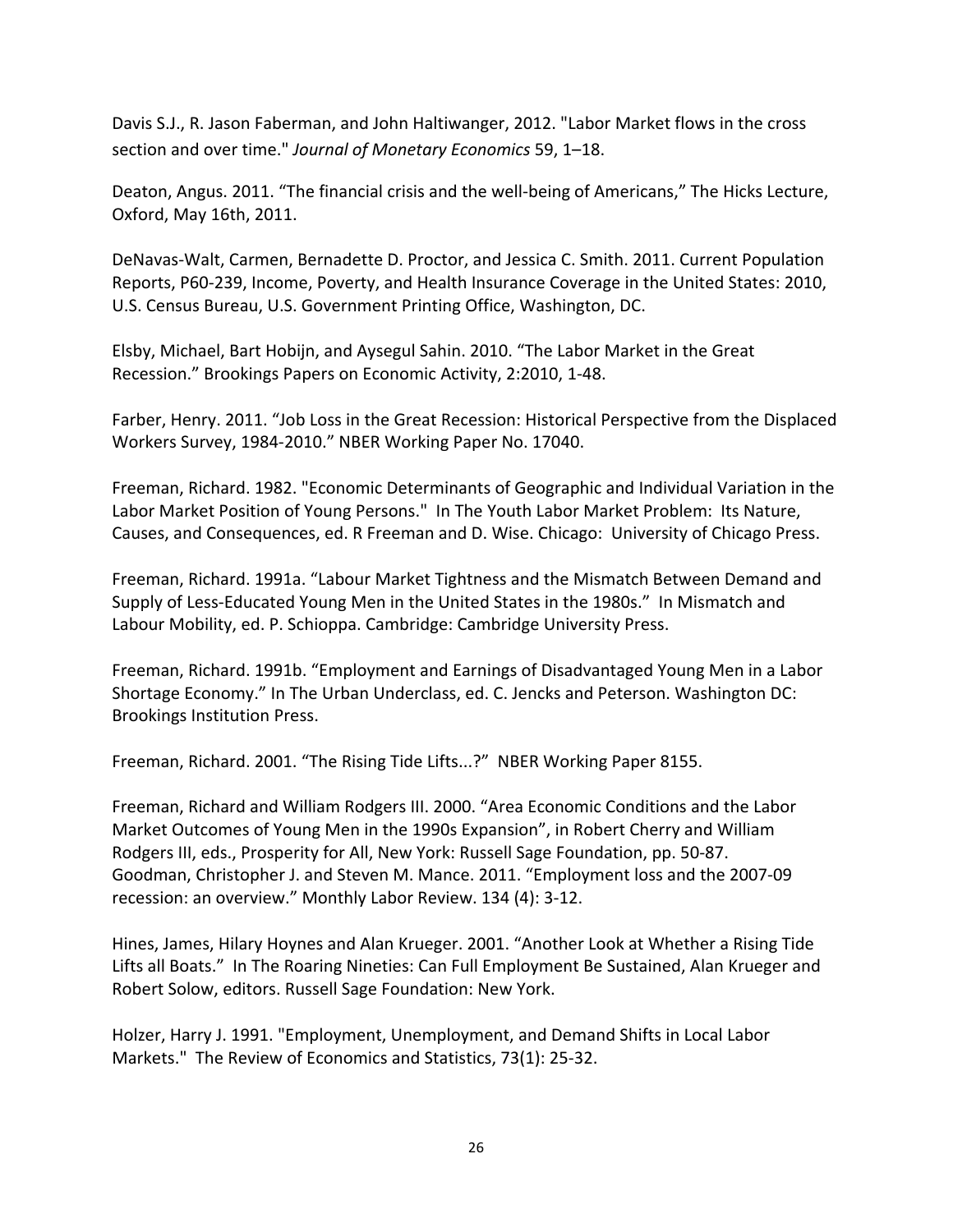Davis S.J., R. Jason Faberman, and John Haltiwanger, 2012. "Labor Market flows in the cross section and over time." *Journal of Monetary Economics* 59, 1–18.

Deaton, Angus. 2011. "The financial crisis and the well‐being of Americans," The Hicks Lecture, Oxford, May 16th, 2011.

DeNavas‐Walt, Carmen, Bernadette D. Proctor, and Jessica C. Smith. 2011. Current Population Reports, P60‐239, Income, Poverty, and Health Insurance Coverage in the United States: 2010, U.S. Census Bureau, U.S. Government Printing Office, Washington, DC.

Elsby, Michael, Bart Hobijn, and Aysegul Sahin. 2010. "The Labor Market in the Great Recession." Brookings Papers on Economic Activity, 2:2010, 1‐48.

Farber, Henry. 2011. "Job Loss in the Great Recession: Historical Perspective from the Displaced Workers Survey, 1984‐2010." NBER Working Paper No. 17040.

Freeman, Richard. 1982. "Economic Determinants of Geographic and Individual Variation in the Labor Market Position of Young Persons." In The Youth Labor Market Problem: Its Nature, Causes, and Consequences, ed. R Freeman and D. Wise. Chicago: University of Chicago Press.

Freeman, Richard. 1991a. "Labour Market Tightness and the Mismatch Between Demand and Supply of Less‐Educated Young Men in the United States in the 1980s." In Mismatch and Labour Mobility, ed. P. Schioppa. Cambridge: Cambridge University Press.

Freeman, Richard. 1991b. "Employment and Earnings of Disadvantaged Young Men in a Labor Shortage Economy." In The Urban Underclass, ed. C. Jencks and Peterson. Washington DC: Brookings Institution Press.

Freeman, Richard. 2001. "The Rising Tide Lifts...?" NBER Working Paper 8155.

Freeman, Richard and William Rodgers III. 2000. "Area Economic Conditions and the Labor Market Outcomes of Young Men in the 1990s Expansion", in Robert Cherry and William Rodgers III, eds., Prosperity for All, New York: Russell Sage Foundation, pp. 50‐87. Goodman, Christopher J. and Steven M. Mance. 2011. "Employment loss and the 2007‐09 recession: an overview." Monthly Labor Review. 134 (4): 3‐12.

Hines, James, Hilary Hoynes and Alan Krueger. 2001. "Another Look at Whether a Rising Tide Lifts all Boats." In The Roaring Nineties: Can Full Employment Be Sustained, Alan Krueger and Robert Solow, editors. Russell Sage Foundation: New York.

Holzer, Harry J. 1991. "Employment, Unemployment, and Demand Shifts in Local Labor Markets." The Review of Economics and Statistics, 73(1): 25‐32.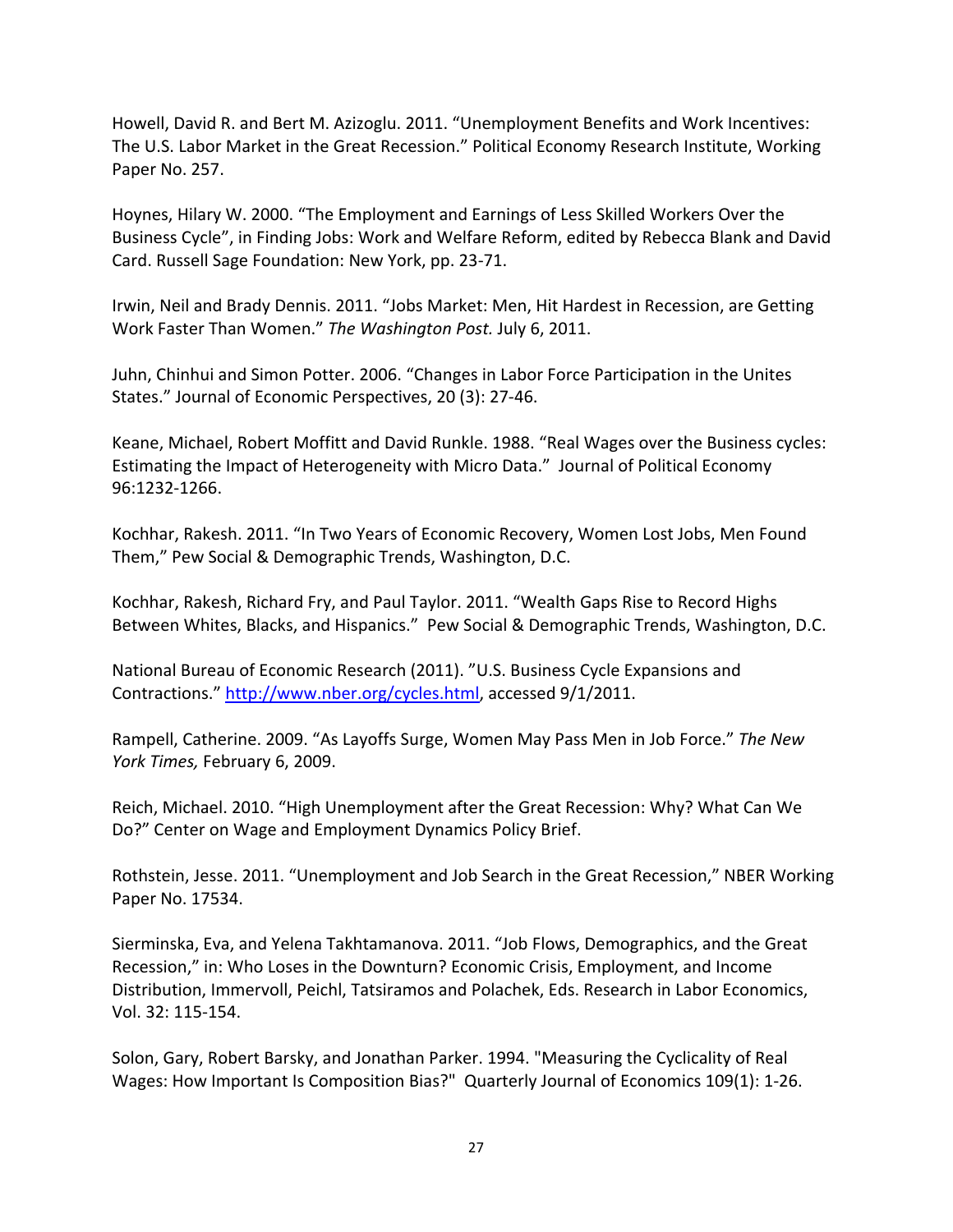Howell, David R. and Bert M. Azizoglu. 2011. "Unemployment Benefits and Work Incentives: The U.S. Labor Market in the Great Recession." Political Economy Research Institute, Working Paper No. 257.

Hoynes, Hilary W. 2000. "The Employment and Earnings of Less Skilled Workers Over the Business Cycle", in Finding Jobs: Work and Welfare Reform, edited by Rebecca Blank and David Card. Russell Sage Foundation: New York, pp. 23‐71.

Irwin, Neil and Brady Dennis. 2011. "Jobs Market: Men, Hit Hardest in Recession, are Getting Work Faster Than Women." *The Washington Post.* July 6, 2011.

Juhn, Chinhui and Simon Potter. 2006. "Changes in Labor Force Participation in the Unites States." Journal of Economic Perspectives, 20 (3): 27‐46.

Keane, Michael, Robert Moffitt and David Runkle. 1988. "Real Wages over the Business cycles: Estimating the Impact of Heterogeneity with Micro Data." Journal of Political Economy 96:1232‐1266.

Kochhar, Rakesh. 2011. "In Two Years of Economic Recovery, Women Lost Jobs, Men Found Them," Pew Social & Demographic Trends, Washington, D.C.

Kochhar, Rakesh, Richard Fry, and Paul Taylor. 2011. "Wealth Gaps Rise to Record Highs Between Whites, Blacks, and Hispanics." Pew Social & Demographic Trends, Washington, D.C.

National Bureau of Economic Research (2011). "U.S. Business Cycle Expansions and Contractions." http://www.nber.org/cycles.html, accessed 9/1/2011.

Rampell, Catherine. 2009. "As Layoffs Surge, Women May Pass Men in Job Force." *The New York Times,* February 6, 2009.

Reich, Michael. 2010. "High Unemployment after the Great Recession: Why? What Can We Do?" Center on Wage and Employment Dynamics Policy Brief.

Rothstein, Jesse. 2011. "Unemployment and Job Search in the Great Recession," NBER Working Paper No. 17534.

Sierminska, Eva, and Yelena Takhtamanova. 2011. "Job Flows, Demographics, and the Great Recession," in: Who Loses in the Downturn? Economic Crisis, Employment, and Income Distribution, Immervoll, Peichl, Tatsiramos and Polachek, Eds. Research in Labor Economics, Vol. 32: 115‐154.

Solon, Gary, Robert Barsky, and Jonathan Parker. 1994. "Measuring the Cyclicality of Real Wages: How Important Is Composition Bias?" Quarterly Journal of Economics 109(1): 1‐26.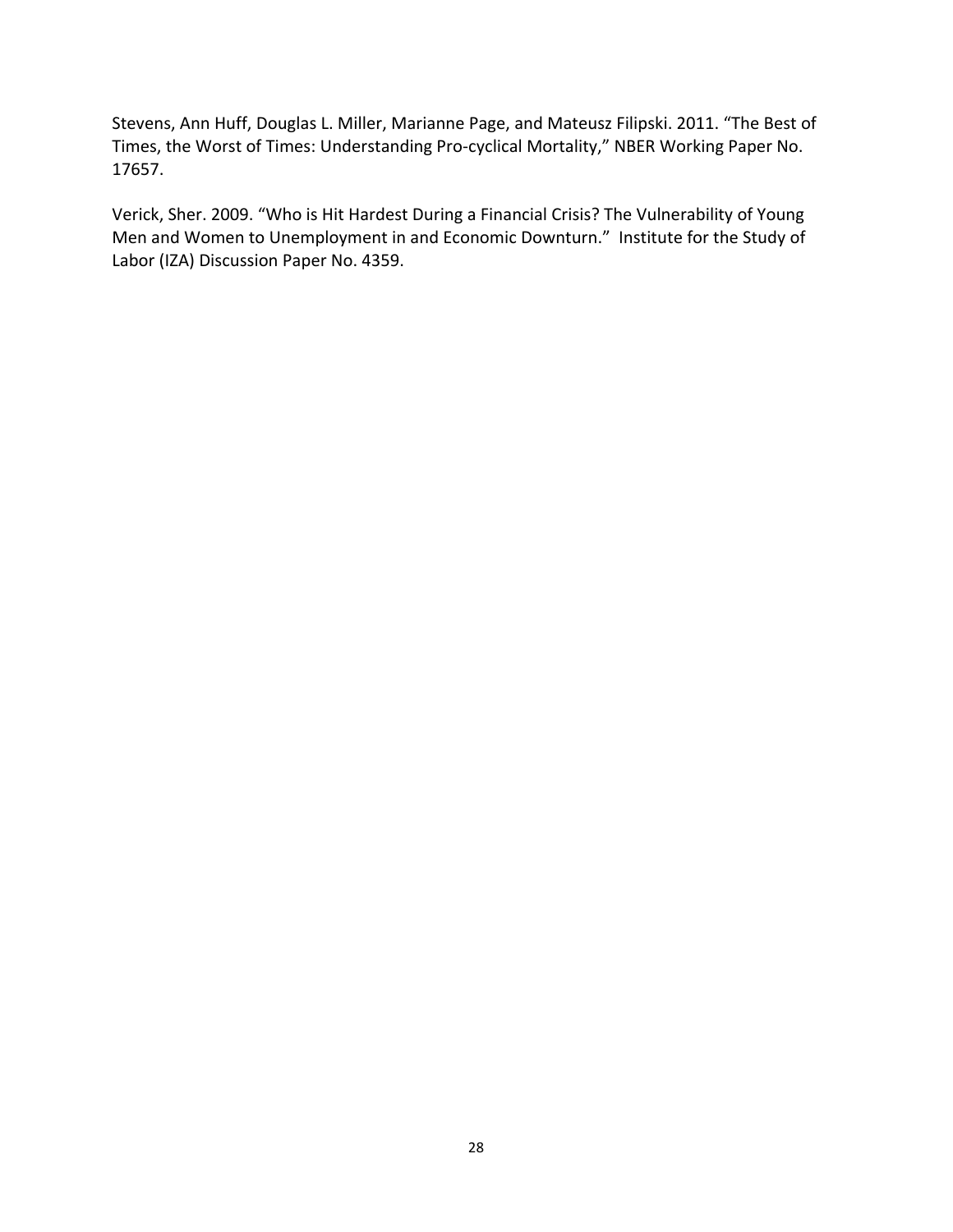Stevens, Ann Huff, Douglas L. Miller, Marianne Page, and Mateusz Filipski. 2011. "The Best of Times, the Worst of Times: Understanding Pro‐cyclical Mortality," NBER Working Paper No. 17657.

Verick, Sher. 2009. "Who is Hit Hardest During a Financial Crisis? The Vulnerability of Young Men and Women to Unemployment in and Economic Downturn." Institute for the Study of Labor (IZA) Discussion Paper No. 4359.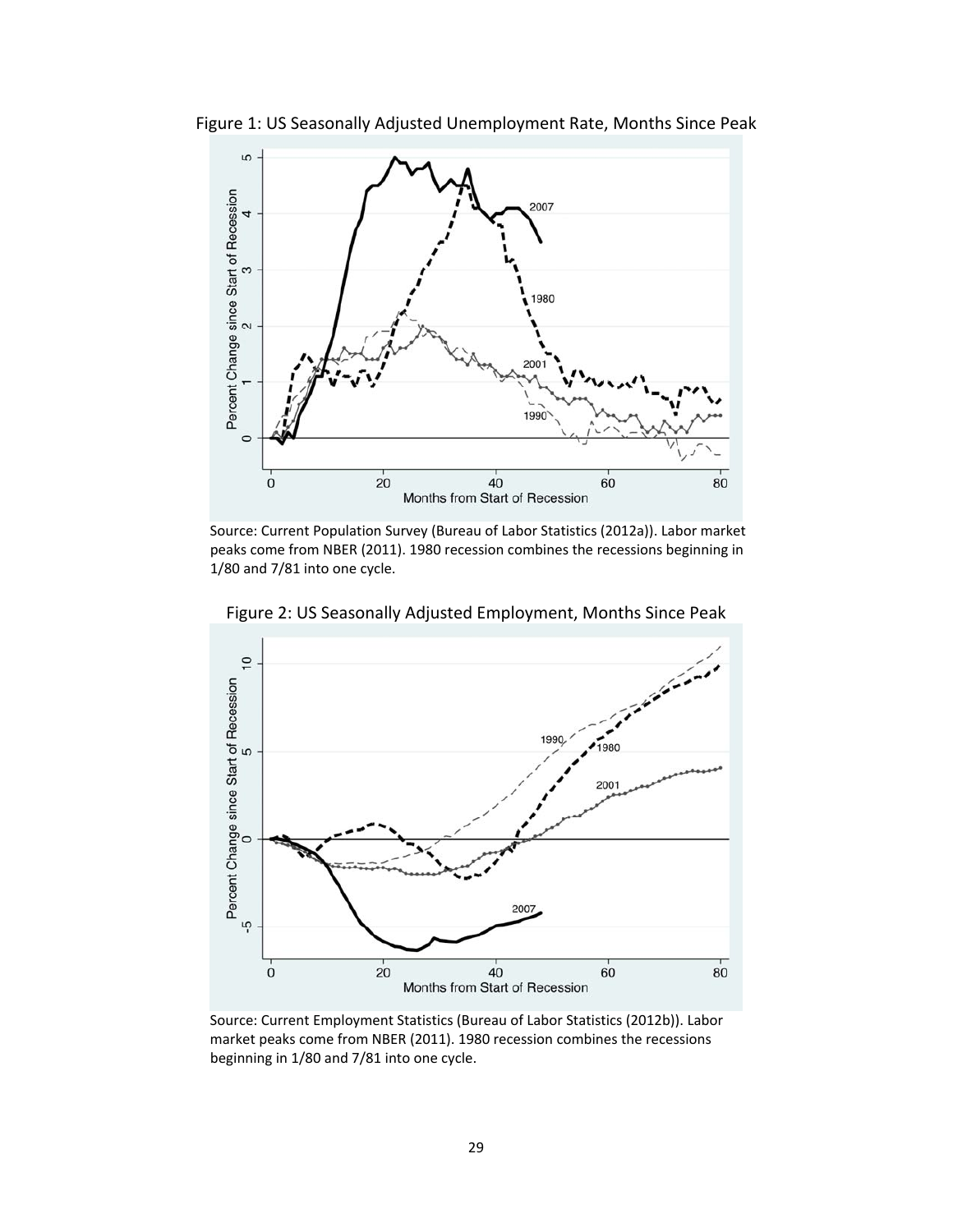

Figure 1: US Seasonally Adjusted Unemployment Rate, Months Since Peak

Source: Current Population Survey (Bureau of Labor Statistics (2012a)). Labor market peaks come from NBER (2011). 1980 recession combines the recessions beginning in 1/80 and 7/81 into one cycle.



Figure 2: US Seasonally Adjusted Employment, Months Since Peak

Source: Current Employment Statistics (Bureau of Labor Statistics (2012b)). Labor market peaks come from NBER (2011). 1980 recession combines the recessions beginning in 1/80 and 7/81 into one cycle.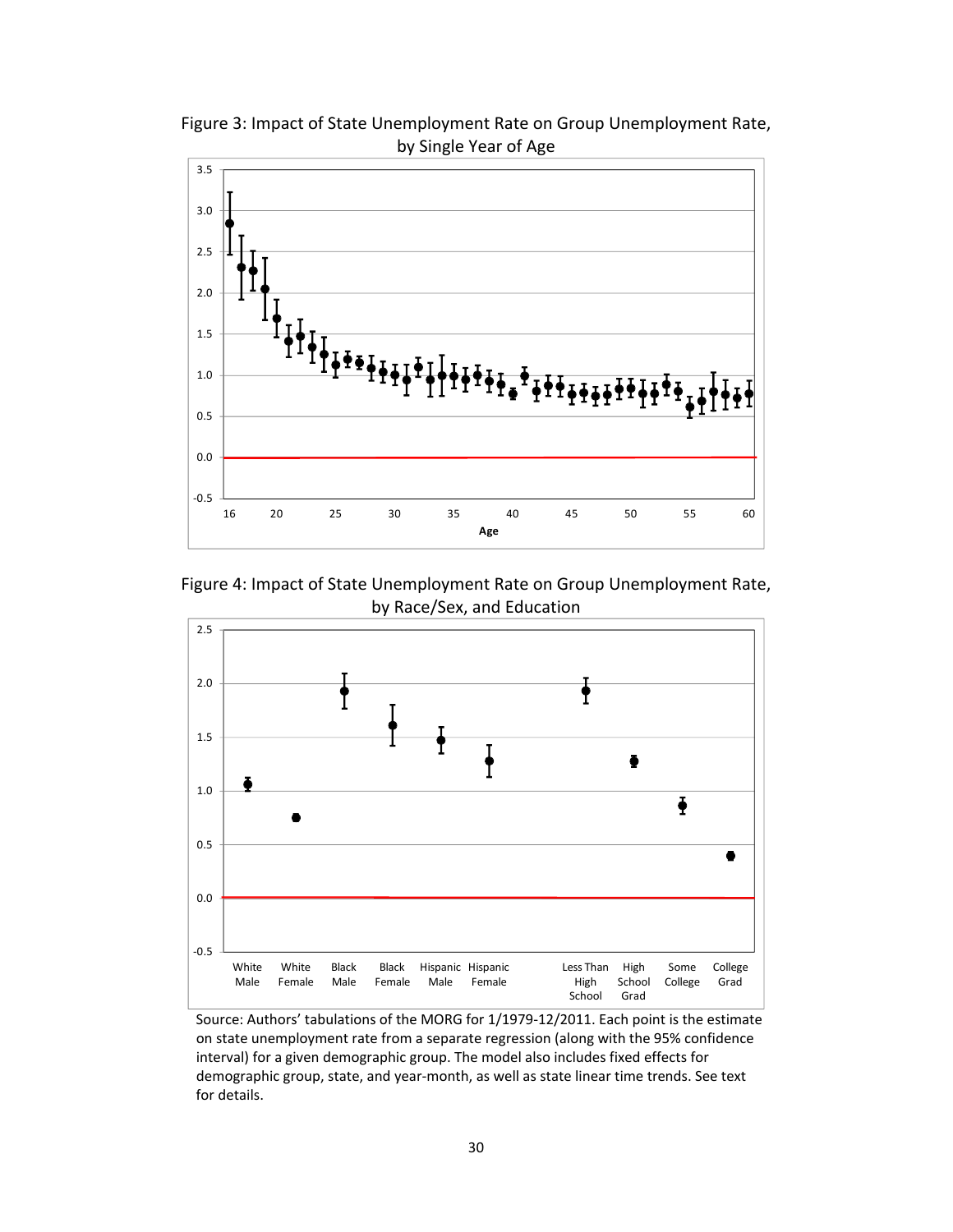

Figure 3: Impact of State Unemployment Rate on Group Unemployment Rate, by Single Year of Age

Figure 4: Impact of State Unemployment Rate on Group Unemployment Rate, by Race/Sex, and Education



Source: Authors' tabulations of the MORG for 1/1979‐12/2011. Each point is the estimate on state unemployment rate from a separate regression (along with the 95% confidence interval) for a given demographic group. The model also includes fixed effects for demographic group, state, and year‐month, as well as state linear time trends. See text for details.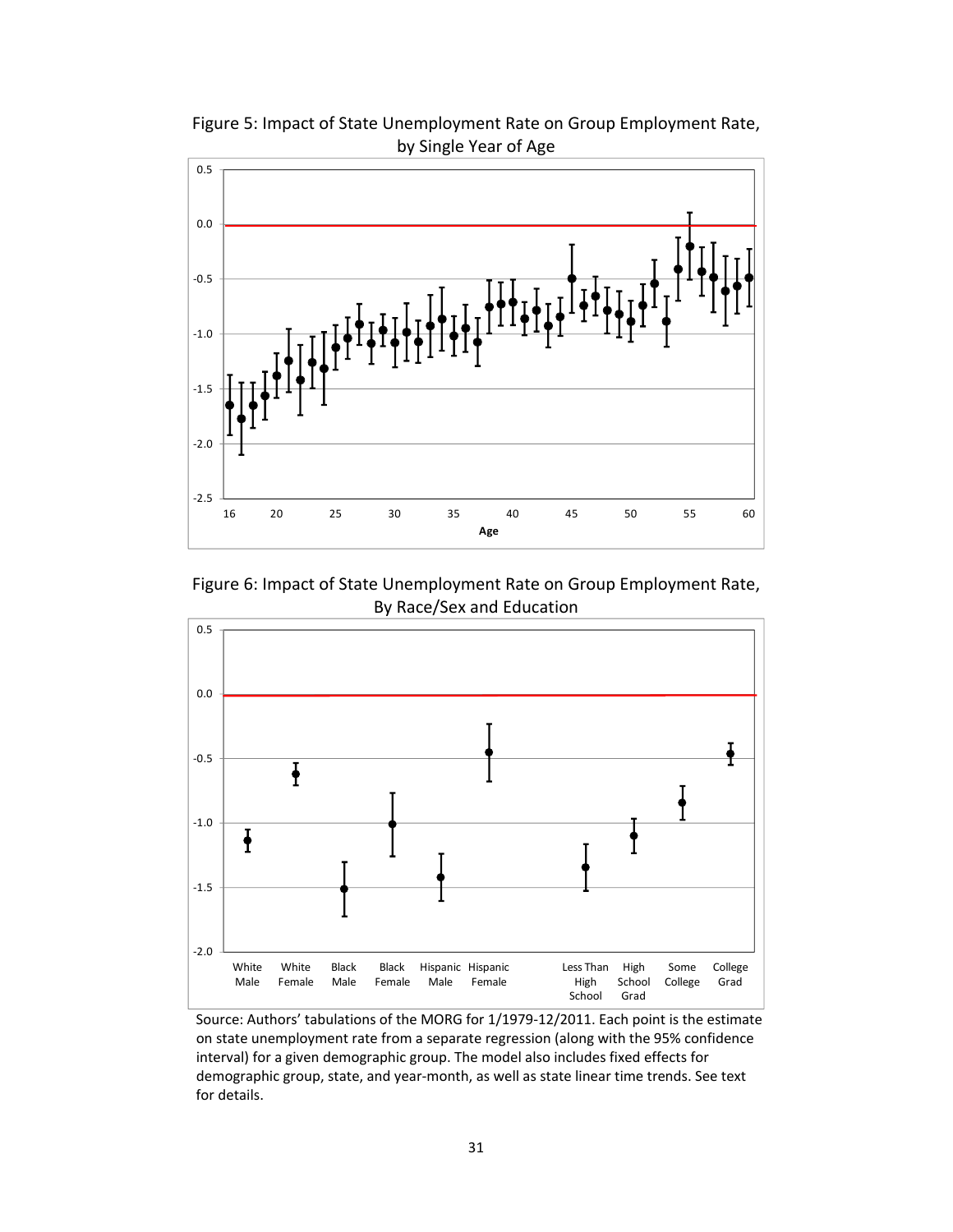

Figure 5: Impact of State Unemployment Rate on Group Employment Rate, by Single Year of Age

Figure 6: Impact of State Unemployment Rate on Group Employment Rate, By Race/Sex and Education



Source: Authors' tabulations of the MORG for 1/1979‐12/2011. Each point is the estimate on state unemployment rate from a separate regression (along with the 95% confidence interval) for a given demographic group. The model also includes fixed effects for demographic group, state, and year‐month, as well as state linear time trends. See text for details.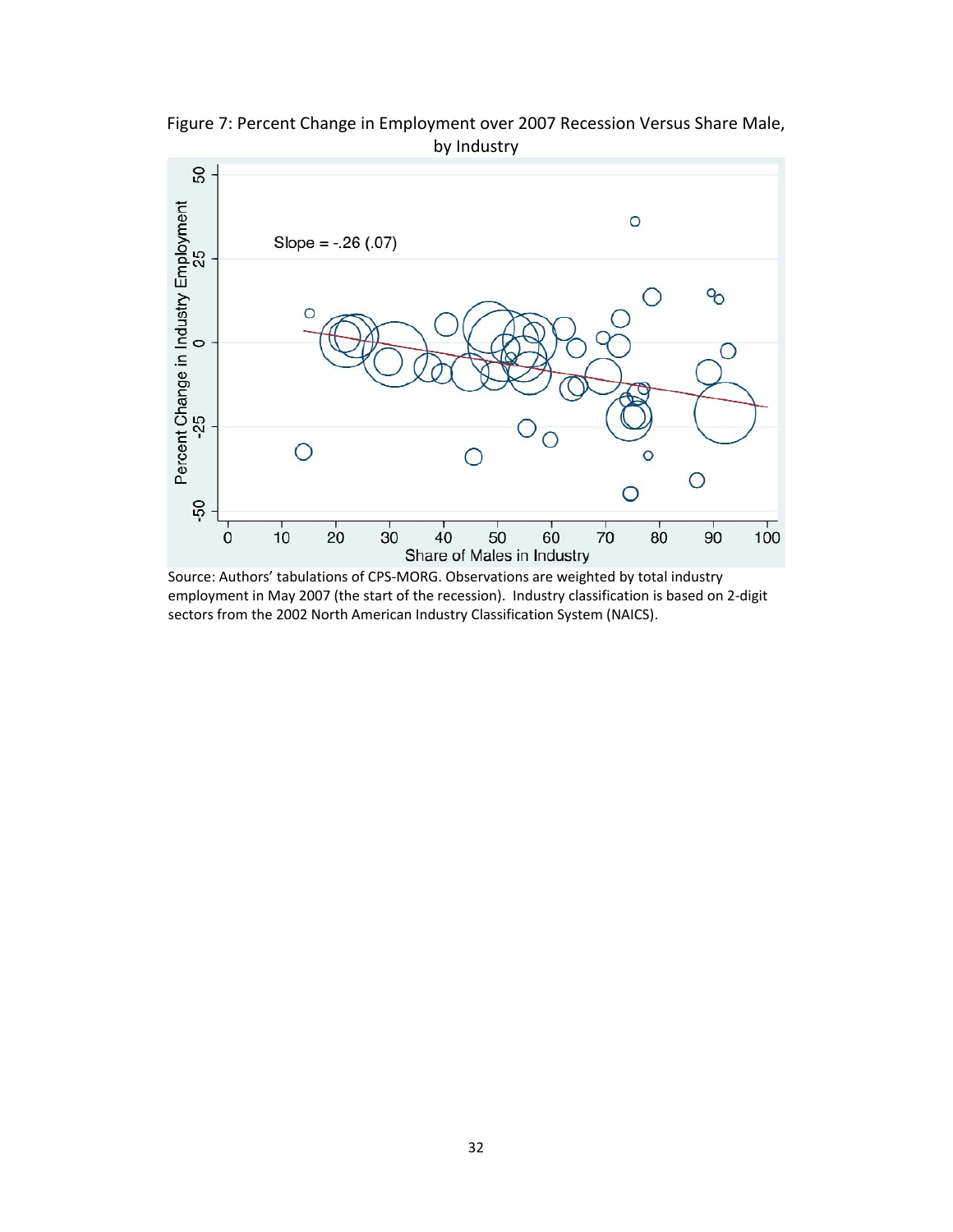

Figure 7: Percent Change in Employment over 2007 Recession Versus Share Male, by Industry

Source: Authors' tabulations of CPS‐MORG. Observations are weighted by total industry employment in May 2007 (the start of the recession). Industry classification is based on 2‐digit sectors from the 2002 North American Industry Classification System (NAICS).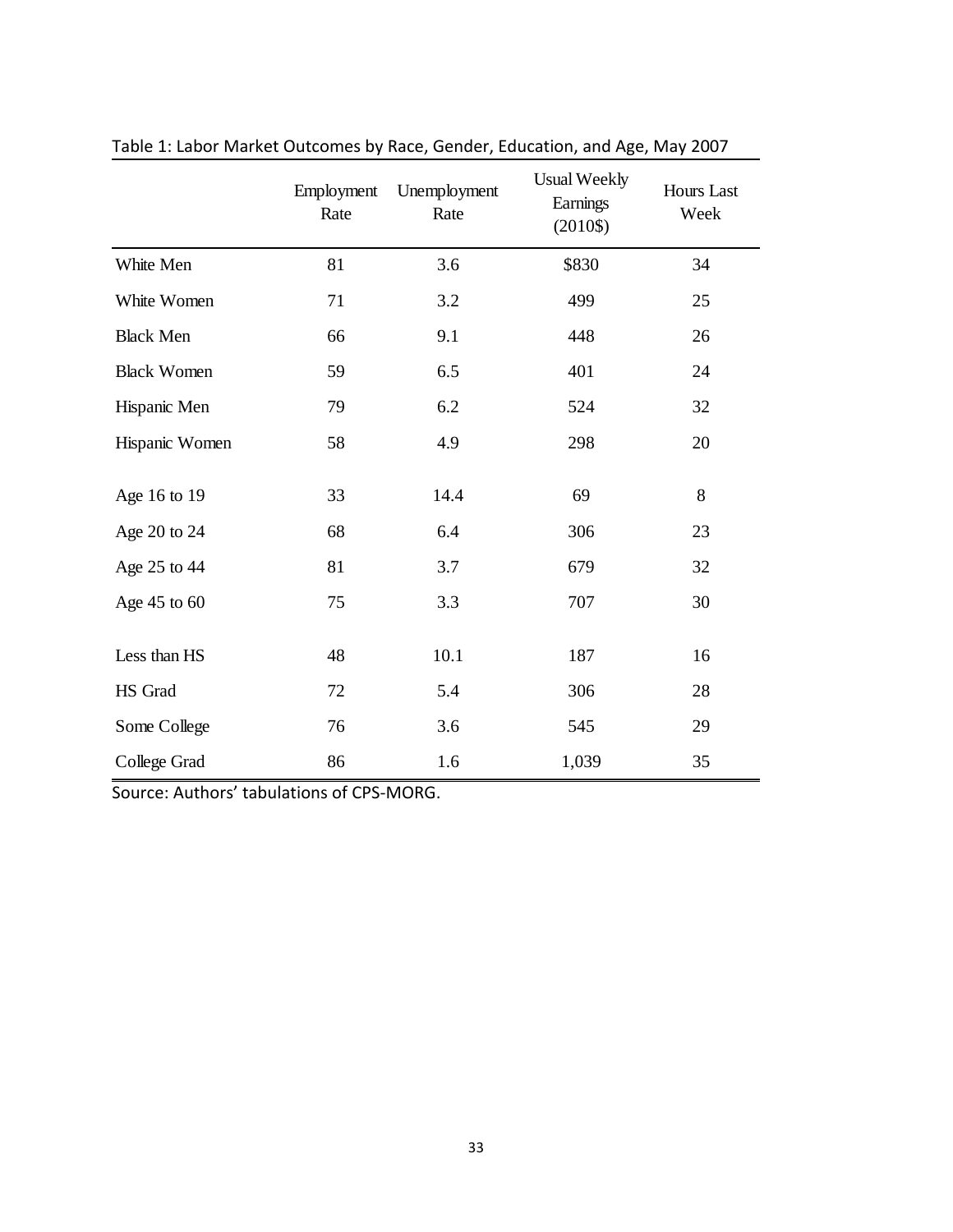|                    | Employment<br>Rate | Unemployment<br>Rate | <b>Usual Weekly</b><br>Earnings<br>$(2010\$ | <b>Hours Last</b><br>Week |
|--------------------|--------------------|----------------------|---------------------------------------------|---------------------------|
| White Men          | 81                 | 3.6                  | \$830                                       | 34                        |
| White Women        | 71                 | 3.2                  | 499                                         | 25                        |
| <b>Black Men</b>   | 66                 | 9.1                  | 448                                         | 26                        |
| <b>Black Women</b> | 59                 | 6.5                  | 401                                         | 24                        |
| Hispanic Men       | 79                 | 6.2                  | 524                                         | 32                        |
| Hispanic Women     | 58                 | 4.9                  | 298                                         | 20                        |
| Age 16 to 19       | 33                 | 14.4                 | 69                                          | 8                         |
| Age 20 to 24       | 68                 | 6.4                  | 306                                         | 23                        |
| Age 25 to 44       | 81                 | 3.7                  | 679                                         | 32                        |
| Age 45 to 60       | 75                 | 3.3                  | 707                                         | 30                        |
| Less than HS       | 48                 | 10.1                 | 187                                         | 16                        |
| HS Grad            | 72                 | 5.4                  | 306                                         | 28                        |
| Some College       | 76                 | 3.6                  | 545                                         | 29                        |
| College Grad       | 86                 | 1.6                  | 1,039                                       | 35                        |

Table 1: Labor Market Outcomes by Race, Gender, Education, and Age, May 2007

Source: Authors' tabulations of CPS‐MORG.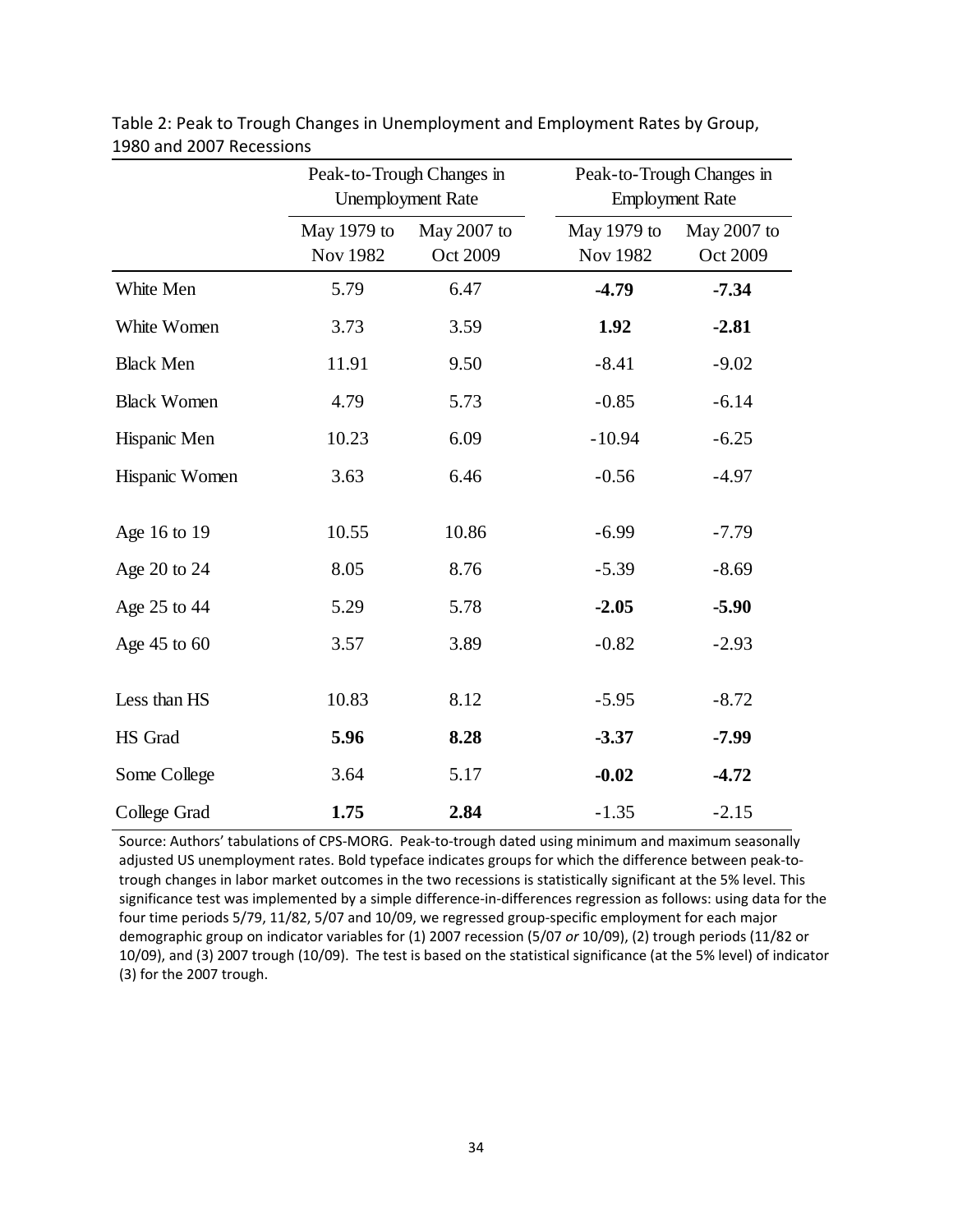|                    | Peak-to-Trough Changes in<br><b>Unemployment Rate</b> |                         | Peak-to-Trough Changes in<br><b>Employment Rate</b> |                         |  |
|--------------------|-------------------------------------------------------|-------------------------|-----------------------------------------------------|-------------------------|--|
|                    | May 1979 to<br><b>Nov 1982</b>                        | May 2007 to<br>Oct 2009 | May 1979 to<br><b>Nov 1982</b>                      | May 2007 to<br>Oct 2009 |  |
| White Men          | 5.79                                                  | 6.47                    | $-4.79$                                             | $-7.34$                 |  |
| White Women        | 3.73                                                  | 3.59                    | 1.92                                                | $-2.81$                 |  |
| <b>Black Men</b>   | 11.91                                                 | 9.50                    | $-8.41$                                             | $-9.02$                 |  |
| <b>Black Women</b> | 4.79                                                  | 5.73                    | $-0.85$                                             | $-6.14$                 |  |
| Hispanic Men       | 10.23                                                 | 6.09                    | $-10.94$                                            | $-6.25$                 |  |
| Hispanic Women     | 3.63                                                  | 6.46                    | $-0.56$                                             | $-4.97$                 |  |
| Age 16 to 19       | 10.55                                                 | 10.86                   | $-6.99$                                             | $-7.79$                 |  |
| Age 20 to 24       | 8.05                                                  | 8.76                    | $-5.39$                                             | $-8.69$                 |  |
| Age 25 to 44       | 5.29                                                  | 5.78                    | $-2.05$                                             | $-5.90$                 |  |
| Age $45$ to $60$   | 3.57                                                  | 3.89                    | $-0.82$                                             | $-2.93$                 |  |
| Less than HS       | 10.83                                                 | 8.12                    | $-5.95$                                             | $-8.72$                 |  |
| HS Grad            | 5.96                                                  | 8.28                    | $-3.37$                                             | -7.99                   |  |
| Some College       | 3.64                                                  | 5.17                    | $-0.02$                                             | $-4.72$                 |  |
| College Grad       | 1.75                                                  | 2.84                    | $-1.35$                                             | $-2.15$                 |  |

Table 2: Peak to Trough Changes in Unemployment and Employment Rates by Group, 1980 and 2007 Recessions

Source: Authors' tabulations of CPS‐MORG. Peak‐to‐trough dated using minimum and maximum seasonally adjusted US unemployment rates. Bold typeface indicates groups for which the difference between peak‐to‐ trough changes in labor market outcomes in the two recessions is statistically significant at the 5% level. This significance test was implemented by a simple difference-in-differences regression as follows: using data for the four time periods 5/79, 11/82, 5/07 and 10/09, we regressed group‐specific employment for each major demographic group on indicator variables for (1) 2007 recession (5/07 *or* 10/09), (2) trough periods (11/82 or 10/09), and (3) 2007 trough (10/09). The test is based on the statistical significance (at the 5% level) of indicator (3) for the 2007 trough.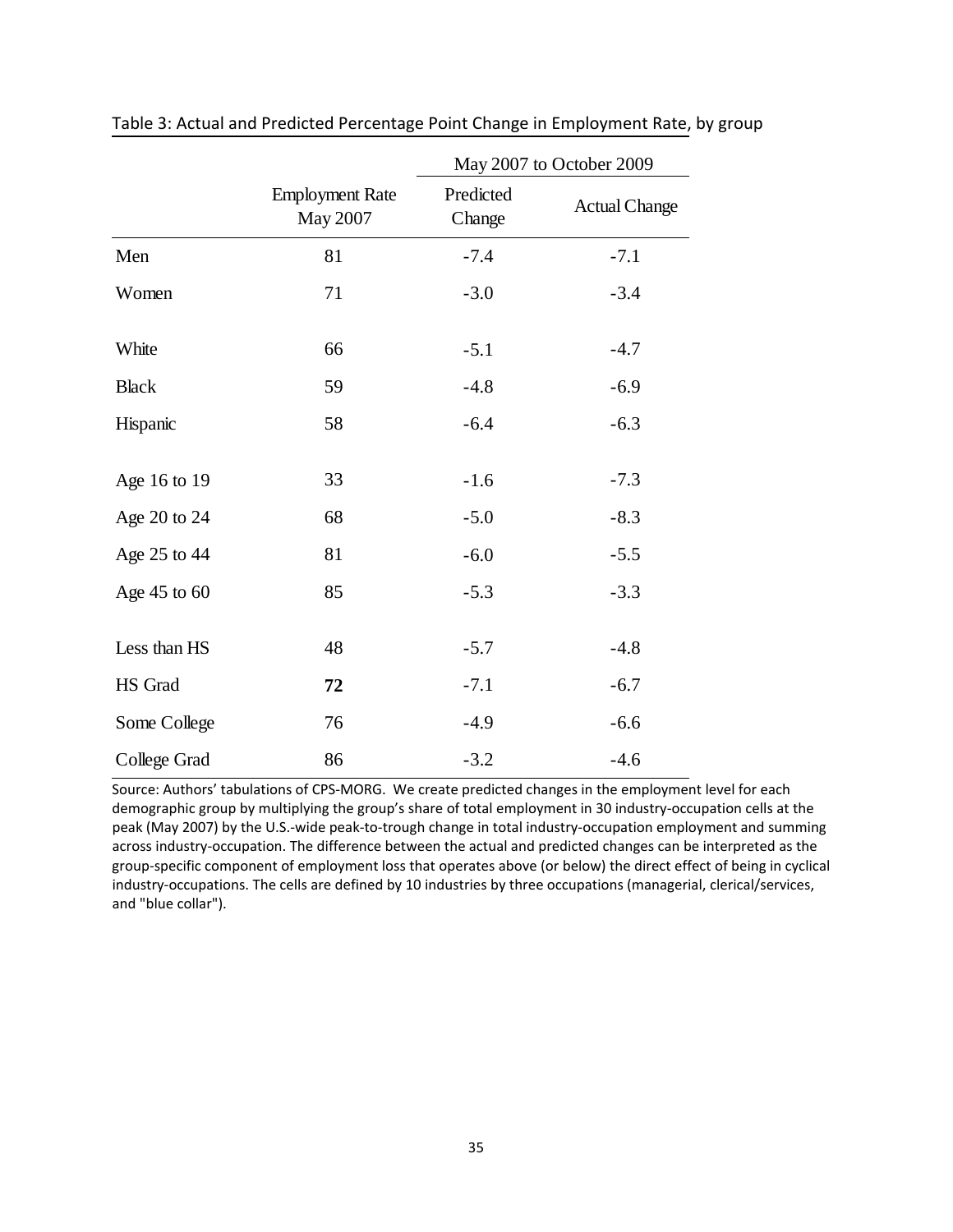|              |                                    | May 2007 to October 2009 |                      |  |  |
|--------------|------------------------------------|--------------------------|----------------------|--|--|
|              | <b>Employment Rate</b><br>May 2007 | Predicted<br>Change      | <b>Actual Change</b> |  |  |
| Men          | 81                                 | $-7.4$                   | $-7.1$               |  |  |
| Women        | 71                                 | $-3.0$                   | $-3.4$               |  |  |
| White        | 66                                 | $-5.1$                   | $-4.7$               |  |  |
| <b>Black</b> | 59                                 | $-4.8$                   | $-6.9$               |  |  |
| Hispanic     | 58                                 | $-6.4$                   | $-6.3$               |  |  |
| Age 16 to 19 | 33                                 | $-1.6$                   | $-7.3$               |  |  |
| Age 20 to 24 | 68                                 | $-5.0$                   | $-8.3$               |  |  |
| Age 25 to 44 | 81                                 | $-6.0$                   | $-5.5$               |  |  |
| Age 45 to 60 | 85                                 | $-5.3$                   | $-3.3$               |  |  |
| Less than HS | 48                                 | $-5.7$                   | $-4.8$               |  |  |
| HS Grad      | 72                                 | $-7.1$                   | $-6.7$               |  |  |
| Some College | 76                                 | $-4.9$                   | $-6.6$               |  |  |
| College Grad | 86                                 | $-3.2$                   | $-4.6$               |  |  |

Table 3: Actual and Predicted Percentage Point Change in Employment Rate, by group

Source: Authors' tabulations of CPS‐MORG. We create predicted changes in the employment level for each demographic group by multiplying the group's share of total employment in 30 industry‐occupation cells at the peak (May 2007) by the U.S.‐wide peak‐to‐trough change in total industry‐occupation employment and summing across industry‐occupation. The difference between the actual and predicted changes can be interpreted as the group‐specific component of employment loss that operates above (or below) the direct effect of being in cyclical industry‐occupations. The cells are defined by 10 industries by three occupations (managerial, clerical/services, and "blue collar").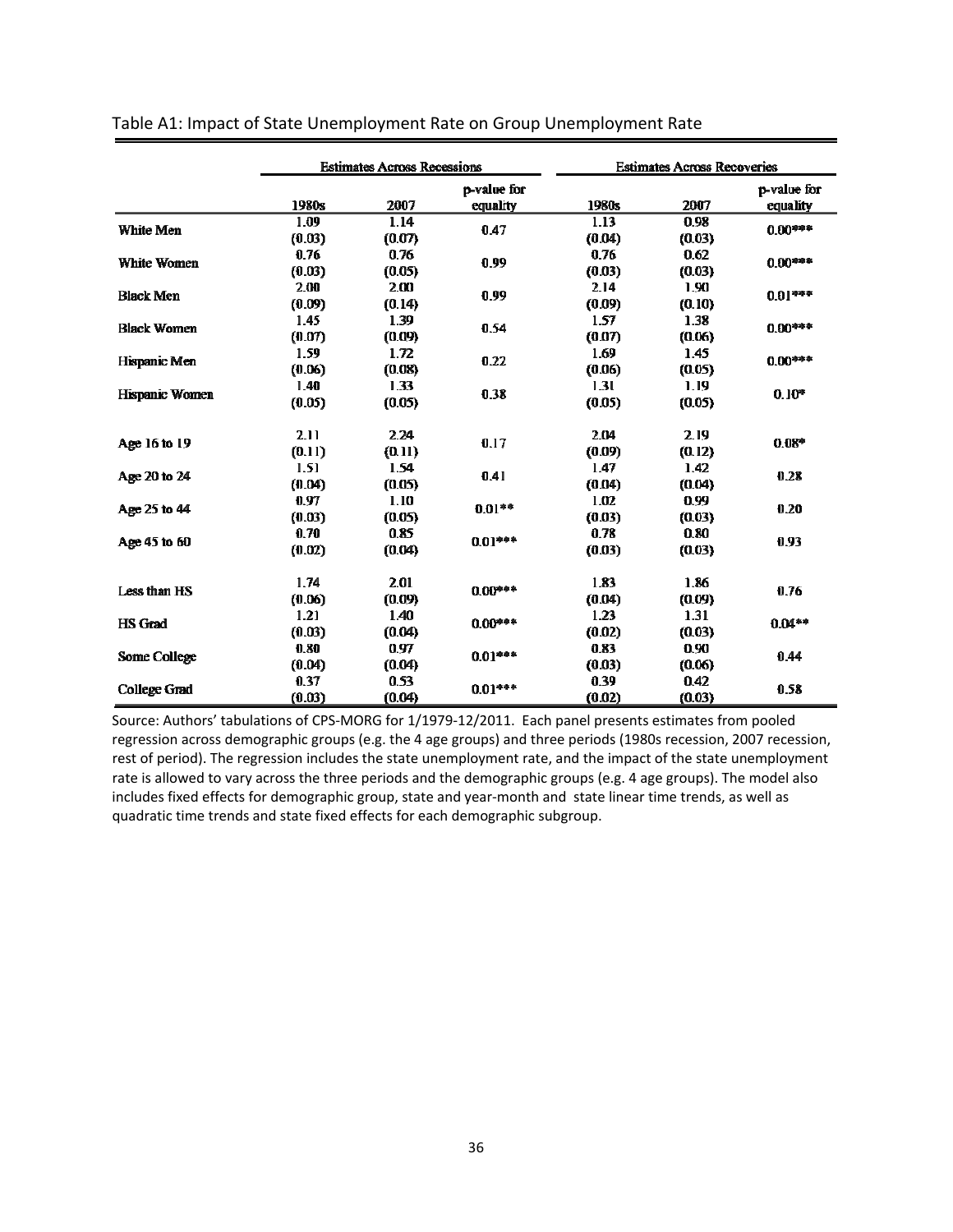|                     | <b>Estimates Across Recessions</b> |                | <b>Estimates Across Recoveries</b> |                |                |                         |
|---------------------|------------------------------------|----------------|------------------------------------|----------------|----------------|-------------------------|
|                     | 1980s                              | 2007           | p-value for<br>equality            | 1980s          | 2007           | p-value for<br>equality |
| White Men           | 1.09<br>(0.03)                     | 1.14<br>(0.07) | 0.47                               | 1.13<br>(0.04) | 0.98<br>(0.03) | $0.00***$               |
| <b>White Women</b>  | 0.76<br>(0.03)                     | 0.76<br>(0.05) | 0.99                               | 0.76<br>(0.03) | 0.62<br>(0.03) | $0.00***$               |
| <b>Black Men</b>    | 2.00<br>(0.09)                     | 2.00<br>(0.14) | 0.99                               | 2.14<br>(0.09) | 1.90<br>(0.10) | $0.01***$               |
| <b>Black Women</b>  | 1.45<br>(0.07)                     | 1.39<br>(0.09) | 0.54                               | 1.57<br>(0.07) | 1.38<br>(0.06) | $0.00***$               |
| Hispanic Men        | 1.59<br>(0.06)                     | 1.72<br>(0.08) | 0.22                               | 1.69<br>(0.06) | 1.45<br>(0.05) | $0.00***$               |
| Hispanic Women      | 1.40<br>(0.05)                     | 1.33<br>(0.05) | 0.38                               | 1.31<br>(0.05) | 1.19<br>(0.05) | $0.10*$                 |
| Age 16 to 19        | 2.11<br>(0.11)                     | 2.24<br>(0.11) | 0.17                               | 2.04<br>(0.09) | 2.19<br>(0.12) | $0.08*$                 |
| Age 20 to 24        | 1.51<br>(0.04)                     | 1.54<br>(0.05) | 0.41                               | 1.47<br>(0.04) | 1.42<br>(0.04) | 0.28                    |
| Age 25 to 44        | 0.97<br>(0.03)                     | 1.10<br>(0.05) | $0.01**$                           | 1.02<br>(0.03) | 0.99<br>(0.03) | 0.20                    |
| Age 45 to 60        | 0.70<br>(0.02)                     | 0.85<br>(0.04) | $0.01***$                          | 0.78<br>(0.03) | 0.80<br>(0.03) | 0.93                    |
| Less than HS        | 1.74<br>(0.06)                     | 2.01<br>(0.09) | $0.00***$                          | 1.83<br>(0.04) | 1.86<br>(0.09) | 0.76                    |
| <b>HS</b> Grad      | 1.21<br>(0.03)                     | 1.40<br>(0.04) | $0.00***$                          | 1.23<br>(0.02) | 1.31<br>(0.03) | $0.04**$                |
| Some College        | 0.80<br>(0.04)                     | 0.97<br>(0.04) | $0.01***$                          | 0.83<br>(0.03) | 0.90<br>(0.06) | 0.44                    |
| <b>College Grad</b> | 0.37<br>(0.03)                     | 0.53<br>(0.04) | $0.01***$                          | 0.39<br>(0.02) | 0.42<br>(0.03) | 0.58                    |

Source: Authors' tabulations of CPS‐MORG for 1/1979‐12/2011. Each panel presents estimates from pooled regression across demographic groups (e.g. the 4 age groups) and three periods (1980s recession, 2007 recession, rest of period). The regression includes the state unemployment rate, and the impact of the state unemployment rate is allowed to vary across the three periods and the demographic groups (e.g. 4 age groups). The model also includes fixed effects for demographic group, state and year‐month and state linear time trends, as well as quadratic time trends and state fixed effects for each demographic subgroup.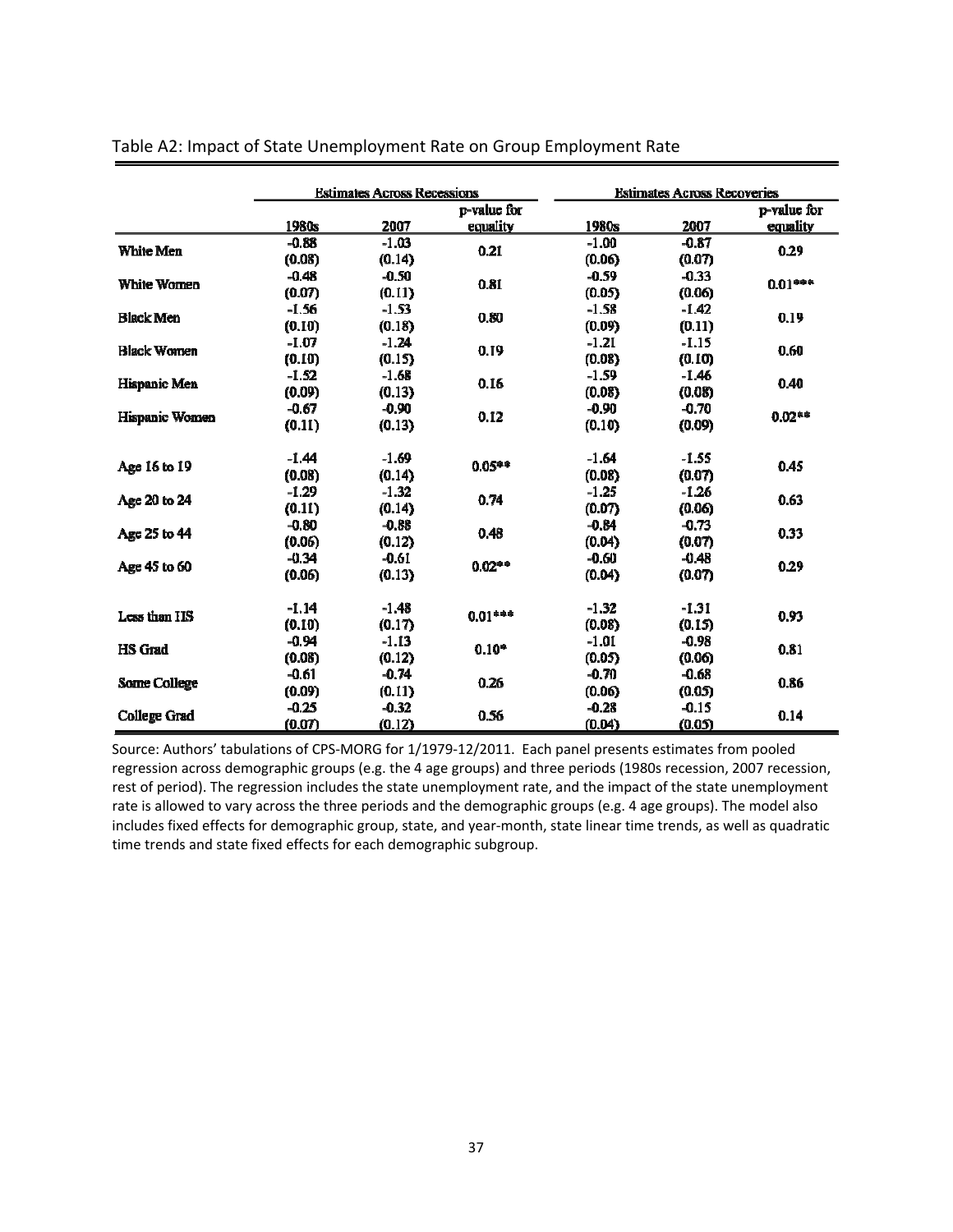|                     | <b>Estimates Across Recessions</b> |         | <b>Estimates Across Recoveries</b> |         |         |             |
|---------------------|------------------------------------|---------|------------------------------------|---------|---------|-------------|
|                     |                                    |         | p-value for                        |         |         | p-value for |
|                     | 1980s                              | 2007    | equality                           | 1980s   | 2007    | equality    |
| White Men           | $-0.88$                            | $-1.03$ | 0.21                               | $-1.00$ | $-0.87$ | 0.29        |
|                     | (0.08)                             | (0.14)  |                                    | (0.06)  | (0.07)  |             |
|                     | $-0.48$                            | $-0.50$ | 0.81                               | $-0.59$ | $-0.33$ | $0.01***$   |
| White Women         | (0.07)                             | (0.11)  |                                    | (0.05)  | (0.06)  |             |
|                     | $-1.56$                            | $-1.53$ |                                    | $-1.58$ | $-1.42$ |             |
| <b>Black Men</b>    | (0.10)                             | (0.18)  | 0.80                               | (0.09)  | (0.11)  | 0.19        |
|                     | $-1.07$                            | $-1.24$ |                                    | $-1.21$ | $-1.15$ | 0.60        |
| <b>Black Women</b>  | (0.10)                             | (0.15)  | 0.19                               | (0.08)  | (0.10)  |             |
|                     | $-1.52$                            | $-1.68$ | 0.16                               | $-1.59$ | $-1.46$ |             |
| Hispanic Men        | (0.09)                             | (0.13)  |                                    | (0.08)  | (0.08)  | 0.40        |
|                     | $-0.67$                            | $-0.90$ |                                    | $-0.90$ | $-0.70$ | $0.02**$    |
| Hispanic Women      | (0.11)                             | (0.13)  | 0.12                               | (0.10)  | (0.09)  |             |
|                     | $-1.44$                            | $-1.69$ |                                    | $-1.64$ | $-1.55$ | 0.45        |
| Age 16 to 19        | (0.08)                             | (0.14)  | $0.05***$                          | (0.08)  | (0.07)  |             |
|                     | $-1.29$                            | $-1.32$ | 0.74                               | $-1.25$ | $-1.26$ | 0.63        |
| Age 20 to 24        | (0.11)                             | (0.14)  |                                    | (0.07)  | (0.06)  |             |
|                     | $-0.80$                            | $-0.88$ | 0.48                               | $-0.84$ | $-0.73$ | 0.33        |
| Age 25 to 44        | (0.06)                             | (0.12)  |                                    | (0.04)  | (0.07)  |             |
|                     | $-0.34$                            | $-0.61$ |                                    | $-0.60$ | $-0.48$ |             |
| Age 45 to 60        | (0.06)                             | (0.13)  | $0.02***$                          | (0.04)  | (0.07)  | 0.29        |
| Less than IIS       | $-1.14$                            | $-1.48$ |                                    | $-1.32$ | $-1.31$ | 0.93        |
|                     | (0.10)                             | (0.17)  | $0.01***$                          | (0.08)  | (0.15)  |             |
|                     | $-0.94$                            | $-1.13$ | $0.10*$                            | $-1.01$ | $-0.98$ | 0.81        |
| HS Grad             | (0.08)                             | (0.12)  |                                    | (0.05)  | (0.06)  |             |
| Some College        | $-0.61$                            | $-0.74$ |                                    | $-0.70$ | $-0.68$ | 0.86        |
|                     | (0.09)                             | (0.11)  | 0.26                               | (0.06)  | (0.05)  |             |
|                     | $-0.25$                            | $-0.32$ |                                    | $-0.28$ | $-0.15$ | 0.14        |
| <b>College Grad</b> | (0.07)                             | (0.12)  | 0.56                               | (0.04)  | (0.05)  |             |

#### Table A2: Impact of State Unemployment Rate on Group Employment Rate

Source: Authors' tabulations of CPS‐MORG for 1/1979‐12/2011. Each panel presents estimates from pooled regression across demographic groups (e.g. the 4 age groups) and three periods (1980s recession, 2007 recession, rest of period). The regression includes the state unemployment rate, and the impact of the state unemployment rate is allowed to vary across the three periods and the demographic groups (e.g. 4 age groups). The model also includes fixed effects for demographic group, state, and year-month, state linear time trends, as well as quadratic time trends and state fixed effects for each demographic subgroup.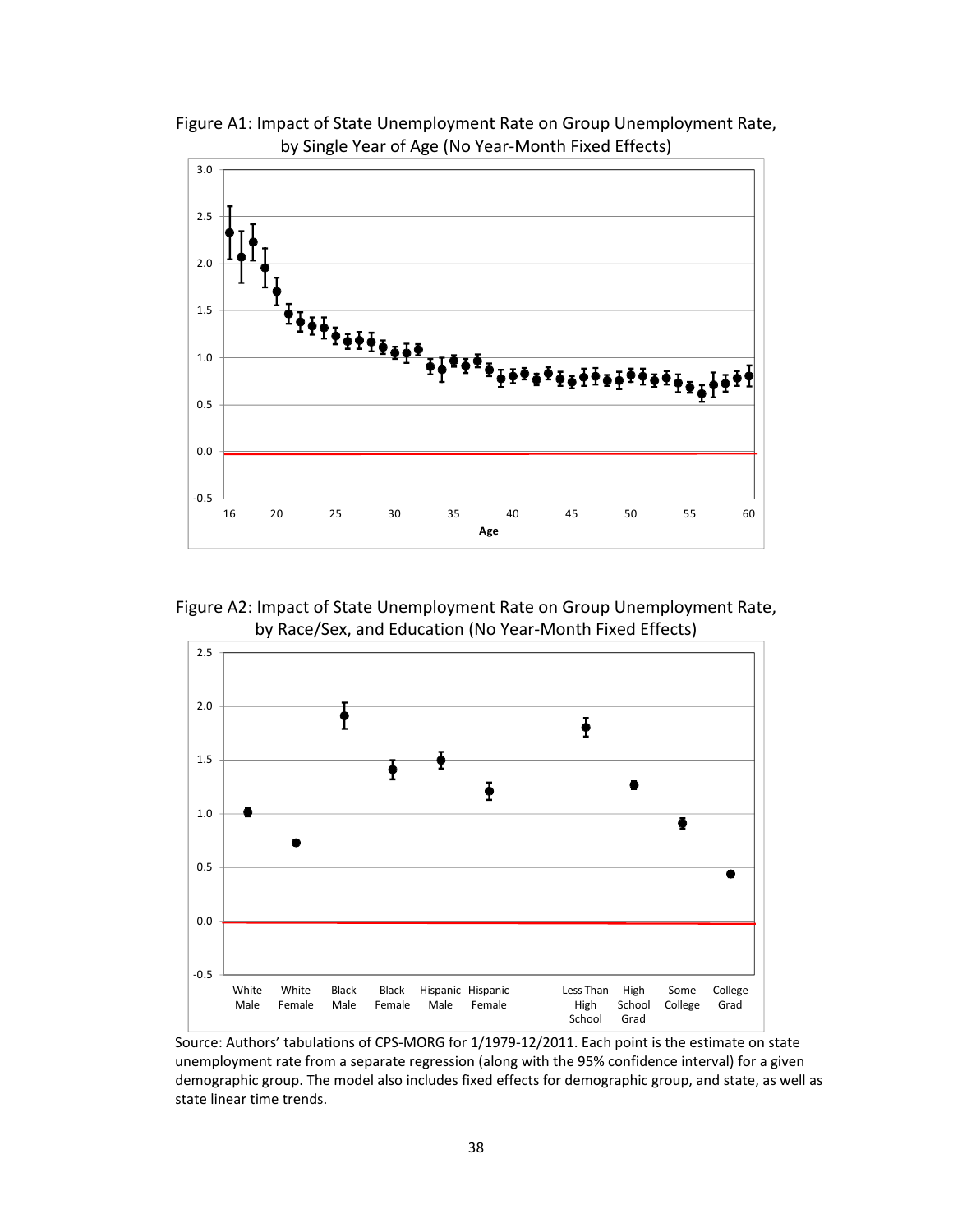

Figure A1: Impact of State Unemployment Rate on Group Unemployment Rate, by Single Year of Age (No Year‐Month Fixed Effects)

Figure A2: Impact of State Unemployment Rate on Group Unemployment Rate, by Race/Sex, and Education (No Year‐Month Fixed Effects)



Source: Authors' tabulations of CPS‐MORG for 1/1979‐12/2011. Each point is the estimate on state unemployment rate from a separate regression (along with the 95% confidence interval) for a given demographic group. The model also includes fixed effects for demographic group, and state, as well as state linear time trends.